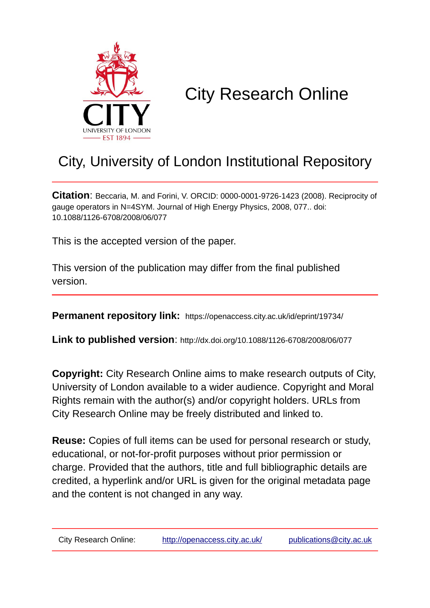

# City Research Online

# City, University of London Institutional Repository

**Citation**: Beccaria, M. and Forini, V. ORCID: 0000-0001-9726-1423 (2008). Reciprocity of gauge operators in N=4SYM. Journal of High Energy Physics, 2008, 077.. doi: 10.1088/1126-6708/2008/06/077

This is the accepted version of the paper.

This version of the publication may differ from the final published version.

**Permanent repository link:** https://openaccess.city.ac.uk/id/eprint/19734/

**Link to published version**: http://dx.doi.org/10.1088/1126-6708/2008/06/077

**Copyright:** City Research Online aims to make research outputs of City, University of London available to a wider audience. Copyright and Moral Rights remain with the author(s) and/or copyright holders. URLs from City Research Online may be freely distributed and linked to.

**Reuse:** Copies of full items can be used for personal research or study, educational, or not-for-profit purposes without prior permission or charge. Provided that the authors, title and full bibliographic details are credited, a hyperlink and/or URL is given for the original metadata page and the content is not changed in any way.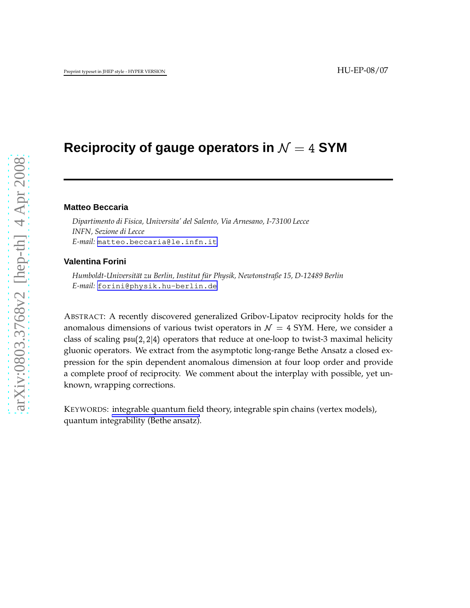# **Reciprocity of gauge operators in**  $\mathcal{N} = 4$  **SYM**

### **Matteo Beccaria**

*Dipartimento di Fisica, Universita' del Salento, Via Arnesano, I-73100 Lecce INFN, Sezione di Lecce E-mail:* [matteo.beccaria@le.infn.it](mailto:matteo.beccaria@le.infn.it)

#### **Valentina Forini**

*Humboldt-Universit¨at zu Berlin, Institut f ¨ur Physik, Newtonstraße 15, D-12489 Berlin E-mail:* [forini@physik.hu-berlin.de](mailto:forini@physik.hu-berlin.de)

ABSTRACT: A recently discovered generalized Gribov-Lipatov reciprocity holds for the anomalous dimensions of various twist operators in  $\mathcal{N} = 4$  SYM. Here, we consider a class of scaling  $\mathfrak{psu}(2,2|4)$  operators that reduce at one-loop to twist-3 maximal helicity gluonic operators. We extract from the asymptotic long-range Bethe Ansatz a closed expression for the spin dependent anomalous dimension at four loop order and provide a complete proof of reciprocity. We comment about the interplay with possible, yet unknown, wrapping corrections.

KEYWORDS: integrable quantum field theory, integrable spin chains (vertex models), quantum integrability (Bethe ansatz).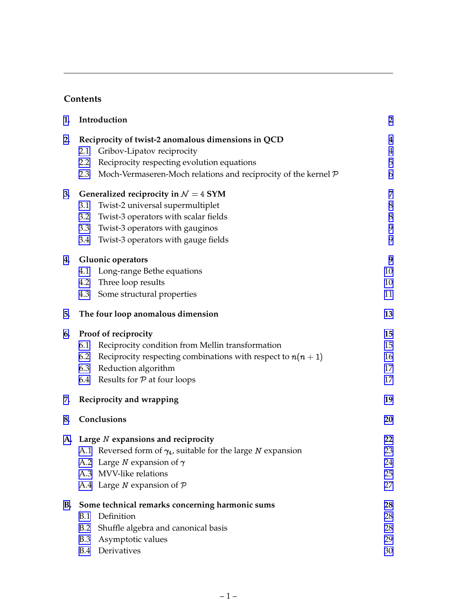# **Contents**

| 1.        | Introduction                                                          | $\overline{2}$ |
|-----------|-----------------------------------------------------------------------|----------------|
| 2.        | Reciprocity of twist-2 anomalous dimensions in QCD                    | 4              |
|           | Gribov-Lipatov reciprocity<br>2.1                                     | $\overline{4}$ |
|           | Reciprocity respecting evolution equations<br>2.2                     | 5              |
|           | Moch-Vermaseren-Moch relations and reciprocity of the kernel P<br>2.3 | 6              |
| 3.        | Generalized reciprocity in $\mathcal{N}=4$ SYM                        | 7              |
|           | Twist-2 universal supermultiplet<br>3.1                               | 8              |
|           | Twist-3 operators with scalar fields<br>3.2                           | $8\phantom{1}$ |
|           | Twist-3 operators with gauginos<br>3.3                                | 9              |
|           | Twist-3 operators with gauge fields<br>3.4                            | 9              |
| 4.        | <b>Gluonic operators</b>                                              | 9              |
|           | Long-range Bethe equations<br>4.1                                     | 10             |
|           | Three loop results<br>4.2                                             | 10             |
|           | Some structural properties<br>4.3                                     | 11             |
| 5.        | The four loop anomalous dimension                                     | 13             |
| 6.        | Proof of reciprocity                                                  | 15             |
|           | 6.1<br>Reciprocity condition from Mellin transformation               | 15             |
|           | Reciprocity respecting combinations with respect to $n(n + 1)$<br>6.2 | 16             |
|           | Reduction algorithm<br>6.3                                            | 17             |
|           | 6.4 Results for P at four loops                                       | 17             |
| 7.        | Reciprocity and wrapping                                              | 19             |
| 8.        | Conclusions                                                           | 20             |
|           | A. Large N expansions and reciprocity                                 | 22             |
|           | A.1 Reversed form of $\gamma_4$ , suitable for the large N expansion  | 23             |
|           | A.2 Large <i>N</i> expansion of $\gamma$                              | 24             |
|           | A.3 MVV-like relations                                                | 25             |
|           | A.4 Large $N$ expansion of $P$                                        | 27             |
| <b>B.</b> | Some technical remarks concerning harmonic sums                       | 28             |
|           | Definition<br>B.1                                                     | 28             |
|           | Shuffle algebra and canonical basis<br>B.2                            | 28             |
|           | Asymptotic values<br><b>B.3</b>                                       | 29             |
|           | Derivatives<br>B.4                                                    | 30             |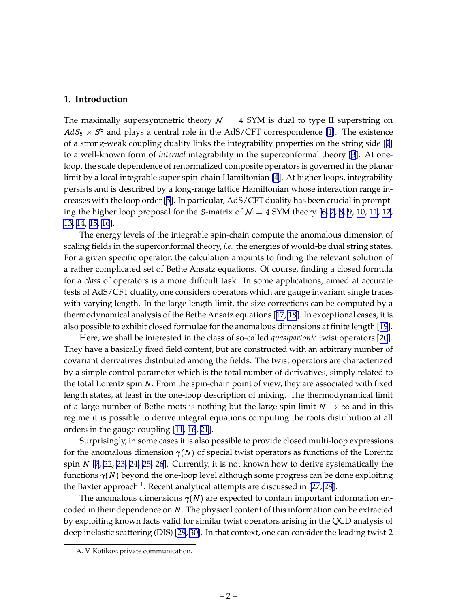# <span id="page-3-0"></span>**1. Introduction**

The maximally supersymmetric theory  $\mathcal{N} = 4$  SYM is dual to type II superstring on  $AdS_5 \times S^5$  and plays a central role in the AdS/CFT correspondence [\[1\]](#page-31-0). The existence of a strong-weak coupling duality links the integrability properties on the string side [[2](#page-32-0)] to a well-known form of *internal* integrability in the superconformal theory [[3](#page-32-0)]. At oneloop, the scale dependence of renormalized composite operators is governed in the planar limit by a local integrable super spin-chain Hamiltonian [\[4\]](#page-32-0). At higher loops, integrability persists and is described by a long-range lattice Hamiltonian whose interaction range increases with the loop order [[5](#page-32-0)]. In particular, AdS/CFT duality has been crucial in prompting the higher loop proposal for the S-matrix of  $\mathcal{N} = 4$  SYM theory [\[6, 7](#page-32-0), [8](#page-32-0), [9, 10, 11](#page-32-0), [12](#page-32-0), [13](#page-32-0), [14, 15, 16](#page-32-0)].

The energy levels of the integrable spin-chain compute the anomalous dimension of scaling fields in the superconformal theory, *i.e.* the energies of would-be dual string states. For a given specific operator, the calculation amounts to finding the relevant solution of a rather complicated set of Bethe Ansatz equations. Of course, finding a closed formula for a *class* of operators is a more difficult task. In some applications, aimed at accurate tests of AdS/CFT duality, one considers operators which are gauge invariant single traces with varying length. In the large length limit, the size corrections can be computed by a thermodynamical analysis of the Bethe Ansatz equations [[17](#page-32-0), [18](#page-33-0)]. In exceptional cases, it is also possible to exhibit closed formulae for the anomalous dimensions at finite length [[19](#page-33-0)].

Here, we shall be interested in the class of so-called *quasipartonic* twist operators [[20](#page-33-0)]. They have a basically fixed field content, but are constructed with an arbitrary number of covariant derivatives distributed among the fields. The twist operators are characterized by a simple control parameter which is the total number of derivatives, simply related to the total Lorentz spin  $N$ . From the spin-chain point of view, they are associated with fixed length states, at least in the one-loop description of mixing. The thermodynamical limit of a large number of Bethe roots is nothing but the large spin limit  $N \to \infty$  and in this regime it is possible to derive integral equations computing the roots distribution at all orders in the gauge coupling [\[11](#page-32-0), [16](#page-32-0), [21\]](#page-33-0).

Surprisingly, in some cases it is also possible to provide closed multi-loop expressions for the anomalous dimension  $\gamma(N)$  of special twist operators as functions of the Lorentz spin  $N$  [[7](#page-32-0), [22](#page-33-0), [23, 24, 25, 26](#page-33-0)]. Currently, it is not known how to derive systematically the functions  $\gamma(N)$  beyond the one-loop level although some progress can be done exploiting the Baxter approach  $^1$ . Recent analytical attempts are discussed in [\[27](#page-33-0), [28](#page-33-0)].

The anomalous dimensions  $\gamma(N)$  are expected to contain important information encoded in their dependence on <sup>N</sup>. The physical content of this information can be extracted by exploiting known facts valid for similar twist operators arising in the QCD analysis of deep inelastic scattering (DIS) [\[29](#page-33-0), [30](#page-33-0)]. In that context, one can consider the leading twist-2

<sup>&</sup>lt;sup>1</sup>A. V. Kotikov, private communication.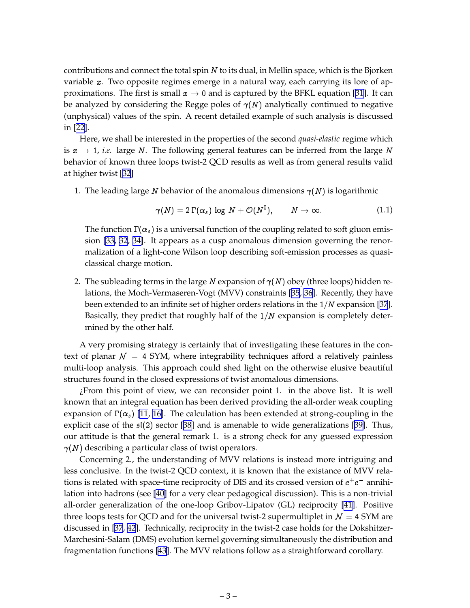contributions and connect the total spin  $N$  to its dual, in Mellin space, which is the Bjorken variable x. Two opposite regimes emerge in a natural way, each carrying its lore of approximations. The first is small  $x \to 0$  and is captured by the BFKL equation [\[31](#page-33-0)]. It can be analyzed by considering the Regge poles of  $\gamma(N)$  analytically continued to negative (unphysical) values of the spin. A recent detailed example of such analysis is discussed in [\[22](#page-33-0)].

Here, we shall be interested in the properties of the second *quasi-elastic* regime which is  $x \to 1$ , *i.e.* large N. The following general features can be inferred from the large N behavior of known three loops twist-2 QCD results as well as from general results valid at higher twist [[32](#page-33-0)]

1. The leading large N behavior of the anomalous dimensions  $\gamma(N)$  is logarithmic

$$
\gamma(N) = 2\,\Gamma(\alpha_s) \, \log \, N + \mathcal{O}(N^0), \qquad N \to \infty. \tag{1.1}
$$

The function  $\Gamma(\alpha_s)$  is a universal function of the coupling related to soft gluon emission [\[33, 32](#page-33-0), [34\]](#page-33-0). It appears as a cusp anomalous dimension governing the renormalization of a light-cone Wilson loop describing soft-emission processes as quasiclassical charge motion.

2. The subleading terms in the large N expansion of  $\gamma(N)$  obey (three loops) hidden relations, the Moch-Vermaseren-Vogt (MVV) constraints [[35](#page-34-0), [36](#page-34-0)]. Recently, they have been extended to an infinite set of higher orders relations in the  $1/N$  expansion [[37](#page-34-0)]. Basically, they predict that roughly half of the  $1/N$  expansion is completely determined by the other half.

A very promising strategy is certainly that of investigating these features in the context of planar  $\mathcal{N} = 4$  SYM, where integrability techniques afford a relatively painless multi-loop analysis. This approach could shed light on the otherwise elusive beautiful structures found in the closed expressions of twist anomalous dimensions.

¿From this point of view, we can reconsider point 1. in the above list. It is well known that an integral equation has been derived providing the all-order weak coupling expansion of  $\Gamma(\alpha_s)$  [\[11](#page-32-0), [16\]](#page-32-0). The calculation has been extended at strong-coupling in the explicit case of the  $\mathfrak{sl}(2)$  sector [[38\]](#page-34-0) and is amenable to wide generalizations [[39\]](#page-34-0). Thus, our attitude is that the general remark 1. is a strong check for any guessed expression  $\gamma(N)$  describing a particular class of twist operators.

Concerning 2., the understanding of MVV relations is instead more intriguing and less conclusive. In the twist-2 QCD context, it is known that the existance of MVV relations is related with space-time reciprocity of DIS and its crossed version of  $e^+e^-$  annihilation into hadrons (see [\[40](#page-34-0)] for a very clear pedagogical discussion). This is a non-trivial all-order generalization of the one-loop Gribov-Lipatov (GL) reciprocity [\[41](#page-34-0)]. Positive three loops tests for QCD and for the universal twist-2 supermultiplet in  $\mathcal{N} = 4$  SYM are discussed in [\[37](#page-34-0), [42\]](#page-34-0). Technically, reciprocity in the twist-2 case holds for the Dokshitzer-Marchesini-Salam (DMS) evolution kernel governing simultaneously the distribution and fragmentation functions [\[43](#page-34-0)]. The MVV relations follow as a straightforward corollary.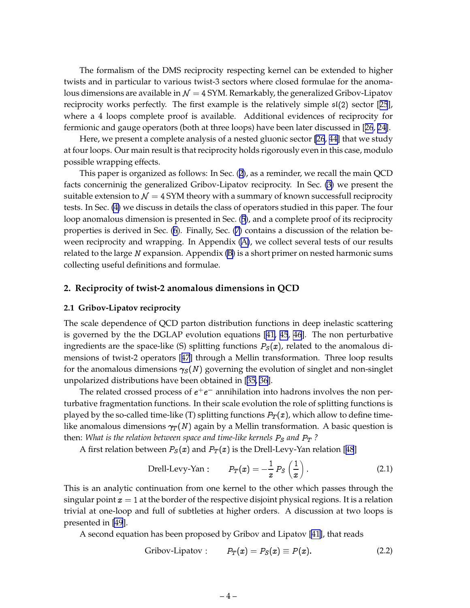<span id="page-5-0"></span>The formalism of the DMS reciprocity respecting kernel can be extended to higher twists and in particular to various twist-3 sectors where closed formulae for the anomalous dimensions are available in  $\mathcal{N} = 4$  SYM. Remarkably, the generalized Gribov-Lipatov reciprocity works perfectly. The first example is the relatively simple  $\mathfrak{sl}(2)$  sector [[25](#page-33-0)], where a 4 loops complete proof is available. Additional evidences of reciprocity for fermionic and gauge operators (both at three loops) have been later discussed in [[26](#page-33-0), [24](#page-33-0)].

Here, we present a complete analysis of a nested gluonic sector [\[26](#page-33-0), [44\]](#page-34-0) that we study at four loops. Our main result is that reciprocity holds rigorously even in this case, modulo possible wrapping effects.

This paper is organized as follows: In Sec. (2), as a reminder, we recall the main QCD facts concerninig the generalized Gribov-Lipatov reciprocity. In Sec. [\(3\)](#page-8-0) we present the suitable extension to  $\mathcal{N} = 4$  SYM theory with a summary of known successfull reciprocity tests. In Sec. [\(4\)](#page-10-0) we discuss in details the class of operators studied in this paper. The four loop anomalous dimension is presented in Sec. ([5](#page-14-0)), and a complete proof of its reciprocity properties is derived in Sec. ([6](#page-16-0)). Finally, Sec. ([7](#page-20-0)) contains a discussion of the relation beween reciprocity and wrapping. In Appendix [\(A\)](#page-23-0), we collect several tests of our results related to the large N expansion. Appendix  $(B)$  $(B)$  is a short primer on nested harmonic sums collecting useful definitions and formulae.

## **2. Reciprocity of twist-2 anomalous dimensions in QCD**

#### **2.1 Gribov-Lipatov reciprocity**

The scale dependence of QCD parton distribution functions in deep inelastic scattering is governed by the the DGLAP evolution equations [[41, 45](#page-34-0), [46](#page-34-0)]. The non perturbative ingredients are the space-like (S) splitting functions  $P<sub>S</sub>(x)$ , related to the anomalous dimensions of twist-2 operators [[47](#page-35-0)] through a Mellin transformation. Three loop results for the anomalous dimensions  $\gamma_s(N)$  governing the evolution of singlet and non-singlet unpolarized distributions have been obtained in [[35, 36](#page-34-0)].

The related crossed process of  $e^+e^-$  annihilation into hadrons involves the non perturbative fragmentation functions. In their scale evolution the role of splitting functions is played by the so-called time-like (T) splitting functions  $P_T(x)$ , which allow to define timelike anomalous dimensions  $\gamma_T(N)$  again by a Mellin transformation. A basic question is then: *What is the relation between space and time-like kernels*  $P_S$  *and*  $P_T$  ?

A first relation between  $P_S(x)$  and  $P_T(x)$  is the Drell-Levy-Yan relation [[48](#page-35-0)]

Drell-Levy-Yan : 
$$
P_T(x) = -\frac{1}{x} P_S\left(\frac{1}{x}\right)
$$
. (2.1)

This is an analytic continuation from one kernel to the other which passes through the singular point  $x = 1$  at the border of the respective disjoint physical regions. It is a relation trivial at one-loop and full of subtleties at higher orders. A discussion at two loops is presented in [\[49](#page-35-0)].

A second equation has been proposed by Gribov and Lipatov [\[41\]](#page-34-0), that reads

$$
Gribov-Lipatov: \t P_T(x) = P_S(x) \equiv P(x). \t (2.2)
$$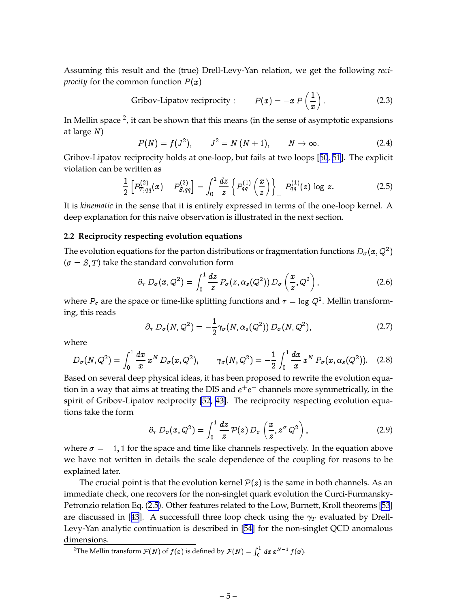<span id="page-6-0"></span>Assuming this result and the (true) Drell-Levy-Yan relation, we get the following *reciprocity* for the common function  $P(x)$ 

Gribov-Lipatov reciprocity : 
$$
P(x) = -x P\left(\frac{1}{x}\right)
$$
. (2.3)

In Mellin space <sup>2</sup>, it can be shown that this means (in the sense of asymptotic expansions at large <sup>N</sup>)

$$
P(N) = f(J^2), \qquad J^2 = N(N+1), \qquad N \to \infty.
$$
 (2.4)

Gribov-Lipatov reciprocity holds at one-loop, but fails at two loops [[50](#page-35-0), [51](#page-35-0)]. The explicit violation can be written as

$$
\frac{1}{2}\left[P_{T,qq}^{(2)}(x)-P_{S,qq}^{(2)}\right]=\int_0^1\frac{dz}{z}\left\{P_{qq}^{(1)}\left(\frac{x}{z}\right)\right\}_+\,P_{qq}^{(1)}(z)\,\log\,z.\tag{2.5}
$$

It is *kinematic* in the sense that it is entirely expressed in terms of the one-loop kernel. A deep explanation for this naive observation is illustrated in the next section.

#### **2.2 Reciprocity respecting evolution equations**

The evolution equations for the parton distributions or fragmentation functions  $D_\sigma(\pmb{x}, Q^2)$  $(\sigma = S, T)$  take the standard convolution form

$$
\partial_{\tau} D_{\sigma}(x, Q^2) = \int_0^1 \frac{dz}{z} P_{\sigma}(z, \alpha_s(Q^2)) D_{\sigma}\left(\frac{x}{z}, Q^2\right), \qquad (2.6)
$$

where  $P_{\sigma}$  are the space or time-like splitting functions and  $\tau =$  log  $Q^2$ . Mellin transforming, this reads

$$
\partial_{\tau} D_{\sigma}(N, Q^2) = -\frac{1}{2} \gamma_{\sigma}(N, \alpha_s(Q^2)) D_{\sigma}(N, Q^2), \qquad (2.7)
$$

where

$$
D_{\sigma}(N,Q^2) = \int_0^1 \frac{dx}{x} x^N D_{\sigma}(x,Q^2), \qquad \gamma_{\sigma}(N,Q^2) = -\frac{1}{2} \int_0^1 \frac{dx}{x} x^N P_{\sigma}(x,\alpha_s(Q^2)). \quad (2.8)
$$

Based on several deep physical ideas, it has been proposed to rewrite the evolution equation in a way that aims at treating the DIS and  $e^+e^-$  channels more symmetrically, in the spirit of Gribov-Lipatov reciprocity [\[52](#page-35-0), [43\]](#page-34-0). The reciprocity respecting evolution equations take the form

$$
\partial_{\tau} D_{\sigma}(x, Q^2) = \int_0^1 \frac{dz}{z} \, \mathcal{P}(z) \, D_{\sigma} \left( \frac{x}{z}, z^{\sigma} \, Q^2 \right), \tag{2.9}
$$

 $\overline{\phantom{0}}$ 

where  $\sigma = -1$ , 1 for the space and time like channels respectively. In the equation above we have not written in details the scale dependence of the coupling for reasons to be explained later.

The crucial point is that the evolution kernel  $P(z)$  is the same in both channels. As an immediate check, one recovers for the non-singlet quark evolution the Curci-Furmansky-Petronzio relation Eq. (2.5). Other features related to the Low, Burnett, Kroll theorems [\[53](#page-35-0)] are discussed in [[43](#page-34-0)]. A successfull three loop check using the  $\gamma_T$  evaluated by Drell-Levy-Yan analytic continuation is described in [[54\]](#page-35-0) for the non-singlet QCD anomalous dimensions.

<sup>2</sup>The Mellin transform  $\mathcal{F}(N)$  of  $f(x)$  is defined by  $\mathcal{F}(N) = \int_0^1 dx x^{N-1} f(x)$ .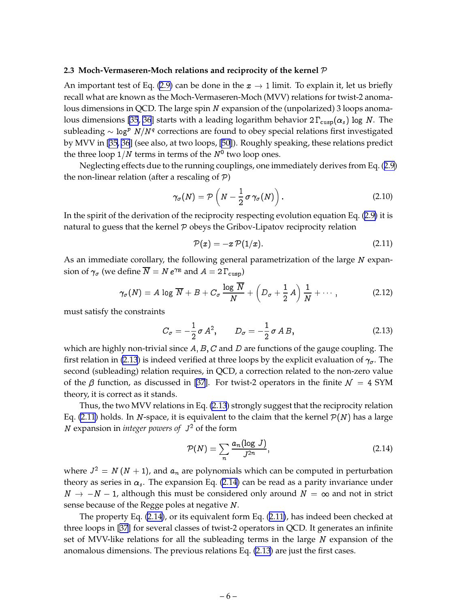#### <span id="page-7-0"></span>**2.3 Moch-Vermaseren-Moch relations and reciprocity of the kernel** <sup>P</sup>

An important test of Eq. [\(2.9\)](#page-6-0) can be done in the  $x \to 1$  limit. To explain it, let us briefly recall what are known as the Moch-Vermaseren-Moch (MVV) relations for twist-2 anomalous dimensions in QCD. The large spin N expansion of the (unpolarized) 3 loops anoma-lous dimensions [\[35](#page-34-0), [36](#page-34-0)] starts with a leading logarithm behavior  $2 \Gamma_{\text{cusp}}(\alpha_s)$  log N. The subleading  $\sim$  log $^p$   $N/N^q$  corrections are found to obey special relations first investigated by MVV in [\[35](#page-34-0), [36](#page-34-0)] (see also, at two loops, [\[50\]](#page-35-0)). Roughly speaking, these relations predict the three loop 1/*N* terms in terms of the  $N^0$  two loop ones.

Neglecting effects due to the running couplings, one immediately derives from Eq. ([2.9](#page-6-0)) the non-linear relation (after a rescaling of  $P$ )

$$
\gamma_{\sigma}(N) = \mathcal{P}\left(N - \frac{1}{2}\,\sigma\,\gamma_{\sigma}(N)\right). \tag{2.10}
$$

In the spirit of the derivation of the reciprocity respecting evolution equation Eq. [\(2.9\)](#page-6-0) it is natural to guess that the kernel  $P$  obeys the Gribov-Lipatov reciprocity relation

$$
\mathcal{P}(x) = -x \,\mathcal{P}(1/x). \tag{2.11}
$$

As an immediate corollary, the following general parametrization of the large N expansion of  $\gamma_\sigma$  (we define  $N=N\,e^{\gamma_\mathrm{E}}$  and  $A=2\,\Gamma_\mathrm{cusp})$ 

$$
\gamma_{\sigma}(N) = A \log \overline{N} + B + C_{\sigma} \frac{\log \overline{N}}{N} + \left(D_{\sigma} + \frac{1}{2}A\right) \frac{1}{N} + \cdots,
$$
 (2.12)

must satisfy the constraints

$$
C_{\sigma} = -\frac{1}{2}\sigma A^2, \qquad D_{\sigma} = -\frac{1}{2}\sigma AB,
$$
 (2.13)

which are highly non-trivial since A,  $B$ , C and D are functions of the gauge coupling. The first relation in (2.13) is indeed verified at three loops by the explicit evaluation of  $\gamma_{\sigma}$ . The second (subleading) relation requires, in QCD, a correction related to the non-zero value of the  $\beta$  function, as discussed in [\[37](#page-34-0)]. For twist-2 operators in the finite  $\mathcal{N} = 4$  SYM theory, it is correct as it stands.

Thus, the two MVV relations in Eq. (2.13) strongly suggest that the reciprocity relation Eq. (2.11) holds. In N-space, it is equivalent to the claim that the kernel  $P(N)$  has a large N expansion in *integer powers of* J<sup>2</sup> of the form

$$
\mathcal{P}(N) = \sum_{n} \frac{a_n (\log J)}{J^{2n}},\tag{2.14}
$$

where  $J^2 = N(N + 1)$ , and  $a_n$  are polynomials which can be computed in perturbation theory as series in  $\alpha_s$ . The expansion Eq. (2.14) can be read as a parity invariance under  $N \rightarrow -N - 1$ , although this must be considered only around  $N = \infty$  and not in strict sense because of the Regge poles at negative N.

The property Eq. (2.14), or its equivalent form Eq. (2.11), has indeed been checked at three loops in [\[37](#page-34-0)] for several classes of twist-2 operators in QCD. It generates an infinite set of MVV-like relations for all the subleading terms in the large  $N$  expansion of the anomalous dimensions. The previous relations Eq. (2.13) are just the first cases.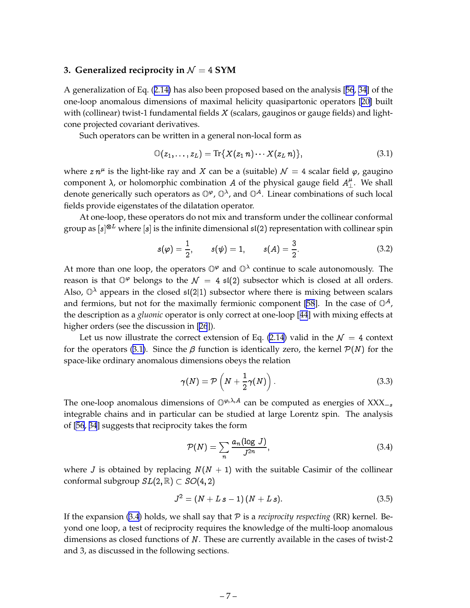# <span id="page-8-0"></span>**3. Generalized reciprocity in**  $\mathcal{N} = 4$  **SYM**

A generalization of Eq. ([2.14\)](#page-7-0) has also been proposed based on the analysis [[56](#page-35-0), [34\]](#page-33-0) of the one-loop anomalous dimensions of maximal helicity quasipartonic operators [[20\]](#page-33-0) built with (collinear) twist-1 fundamental fields  $X$  (scalars, gauginos or gauge fields) and lightcone projected covariant derivatives.

Such operators can be written in a general non-local form as

$$
\mathbb{O}(z_1,\ldots,z_L)=\text{Tr}\{X(z_1\,n)\cdots X(z_L\,n)\},\qquad(3.1)
$$

where  $z\,n^\mu$  is the light-like ray and  $X$  can be a (suitable)  ${\cal N} \,=\, 4$  scalar field  $\varphi$ , gaugino component  $\lambda$ , or holomorphic combination A of the physical gauge field  $A^{\mu}_{\perp}$ . We shall denote generically such operators as  $\mathbb{O}^{\varphi}$ ,  $\mathbb{O}^{\lambda}$ , and  $\mathbb{O}^A$ . Linear combinations of such local fields provide eigenstates of the dilatation operator.

At one-loop, these operators do not mix and transform under the collinear conformal group as  $[s]^{\otimes L}$  where  $[s]$  is the infinite dimensional  $\mathfrak{sl}(2)$  representation with collinear spin

$$
s(\varphi) = \frac{1}{2}, \qquad s(\psi) = 1, \qquad s(A) = \frac{3}{2}.
$$
 (3.2)

At more than one loop, the operators  $\mathbb{O}^{\varphi}$  and  $\mathbb{O}^{\lambda}$  continue to scale autonomously. The reason is that  $\mathbb{O}^{\varphi}$  belongs to the  $\mathcal{N} = 4$   $\mathfrak{sl}(2)$  subsector which is closed at all orders. Also,  $\mathbb{O}^{\lambda}$  appears in the closed  $\mathfrak{sl}(2|1)$  subsector where there is mixing between scalars and fermions, but not for the maximally fermionic component [\[58](#page-35-0)]. In the case of  $\mathbb{O}^A$ , the description as a *gluonic* operator is only correct at one-loop [[44](#page-34-0)] with mixing effects at higher orders (see the discussion in [[26](#page-33-0)]).

Let us now illustrate the correct extension of Eq. [\(2.14](#page-7-0)) valid in the  $\mathcal{N} = 4$  context for the operators (3.1). Since the  $\beta$  function is identically zero, the kernel  $\mathcal{P}(N)$  for the space-like ordinary anomalous dimensions obeys the relation

$$
\gamma(N) = \mathcal{P}\left(N + \frac{1}{2}\gamma(N)\right). \tag{3.3}
$$

The one-loop anomalous dimensions of  $\mathbb{O}^{\varphi,\lambda,A}$  can be computed as energies of XXX<sub>-s</sub> integrable chains and in particular can be studied at large Lorentz spin. The analysis of [\[56](#page-35-0), [34](#page-33-0)] suggests that reciprocity takes the form

$$
\mathcal{P}(N) = \sum_{n} \frac{a_n (\log J)}{J^{2n}},\tag{3.4}
$$

where *J* is obtained by replacing  $N(N + 1)$  with the suitable Casimir of the collinear conformal subgroup  $SL(2, \mathbb{R}) \subset SO(4, 2)$ 

$$
J^2 = (N + L s - 1)(N + L s). \tag{3.5}
$$

If the expansion (3.4) holds, we shall say that  $P$  is a *reciprocity respecting* (RR) kernel. Beyond one loop, a test of reciprocity requires the knowledge of the multi-loop anomalous dimensions as closed functions of <sup>N</sup>. These are currently available in the cases of twist-2 and 3, as discussed in the following sections.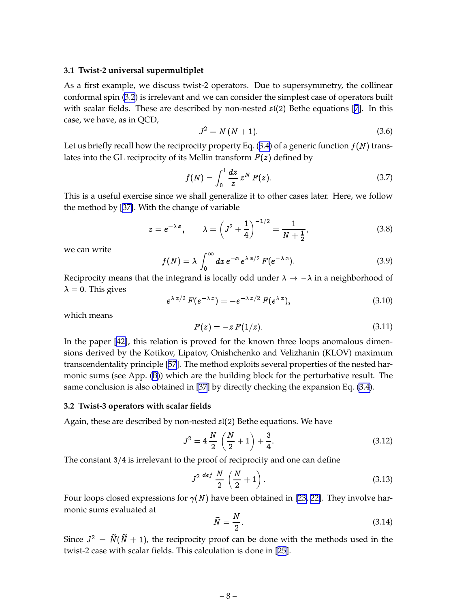#### <span id="page-9-0"></span>**3.1 Twist-2 universal supermultiplet**

As a first example, we discuss twist-2 operators. Due to supersymmetry, the collinear conformal spin [\(3.2](#page-8-0)) is irrelevant and we can consider the simplest case of operators built with scalar fields. These are described by non-nested  $\mathfrak{sl}(2)$  Bethe equations [\[7](#page-32-0)]. In this case, we have, as in QCD,

$$
J^2 = N(N+1). \tag{3.6}
$$

Let us briefly recall how the reciprocity property Eq.  $(3.4)$  $(3.4)$  $(3.4)$  of a generic function  $f(N)$  translates into the GL reciprocity of its Mellin transform  $F(z)$  defined by

$$
f(N) = \int_0^1 \frac{dz}{z} \, z^N \, F(z). \tag{3.7}
$$

This is a useful exercise since we shall generalize it to other cases later. Here, we follow the method by [[37\]](#page-34-0). With the change of variable

$$
z = e^{-\lambda x},
$$
  $\lambda = \left(J^2 + \frac{1}{4}\right)^{-1/2} = \frac{1}{N + \frac{1}{2}},$  (3.8)

we can write

$$
f(N) = \lambda \int_0^\infty dx \, e^{-x} \, e^{\lambda x/2} \, F(e^{-\lambda x}). \tag{3.9}
$$

Reciprocity means that the integrand is locally odd under  $\lambda \to -\lambda$  in a neighborhood of  $\lambda = 0$ . This gives

$$
e^{\lambda x/2} F(e^{-\lambda x}) = -e^{-\lambda x/2} F(e^{\lambda x}), \qquad (3.10)
$$

which means

$$
F(z) = -z F(1/z). \tag{3.11}
$$

In the paper [\[42](#page-34-0)], this relation is proved for the known three loops anomalous dimensions derived by the Kotikov, Lipatov, Onishchenko and Velizhanin (KLOV) maximum transcendentality principle [\[57](#page-35-0)]. The method exploits several properties of the nested harmonic sums (see App. ([B](#page-29-0))) which are the building block for the perturbative result. The same conclusion is also obtained in [\[37\]](#page-34-0) by directly checking the expansion Eq. [\(3.4\)](#page-8-0).

#### **3.2 Twist-3 operators with scalar fields**

Again, these are described by non-nested sl(2) Bethe equations. We have

$$
J^2 = 4\frac{N}{2}\left(\frac{N}{2} + 1\right) + \frac{3}{4}.\tag{3.12}
$$

The constant  $3/4$  is irrelevant to the proof of reciprocity and one can define

$$
J^2 \stackrel{def}{=} \frac{N}{2} \left( \frac{N}{2} + 1 \right). \tag{3.13}
$$

Four loops closed expressions for  $\gamma(N)$  have been obtained in [\[23](#page-33-0), [22\]](#page-33-0). They involve harmonic sums evaluated at  $\ddot{\phantom{a}}$ 

$$
\tilde{N} = \frac{N}{2}.\tag{3.14}
$$

Since  $J^2 = N(N + 1)$ , the reciprocity proof can be done with the methods used in the twist-2 case with scalar fields. This calculation is done in [\[25](#page-33-0)].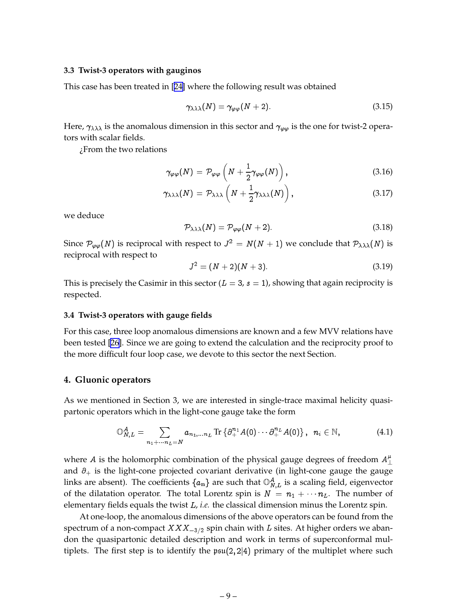#### <span id="page-10-0"></span>**3.3 Twist-3 operators with gauginos**

This case has been treated in [[24\]](#page-33-0) where the following result was obtained

$$
\gamma_{\lambda\lambda\lambda}(N) = \gamma_{\varphi\varphi}(N+2). \tag{3.15}
$$

Here,  $\gamma_{\lambda\lambda\lambda}$  is the anomalous dimension in this sector and  $\gamma_{\varphi\varphi}$  is the one for twist-2 operators with scalar fields.

¿From the two relations

$$
\gamma_{\varphi\varphi}(N) = \mathcal{P}_{\varphi\varphi}\left(N + \frac{1}{2}\gamma_{\varphi\varphi}(N)\right),\tag{3.16}
$$

$$
\gamma_{\lambda\lambda\lambda}(N) = \mathcal{P}_{\lambda\lambda\lambda}\left(N + \frac{1}{2}\gamma_{\lambda\lambda\lambda}(N)\right),\tag{3.17}
$$

we deduce

$$
\mathcal{P}_{\lambda\lambda\lambda}(N) = \mathcal{P}_{\varphi\varphi}(N+2). \tag{3.18}
$$

Since  $\mathcal{P}_{\varphi\varphi}(N)$  is reciprocal with respect to  $J^2 = N(N + 1)$  we conclude that  $\mathcal{P}_{\lambda\lambda\lambda}(N)$  is reciprocal with respect to

$$
J^2 = (N+2)(N+3). \tag{3.19}
$$

This is precisely the Casimir in this sector ( $L = 3$ ,  $s = 1$ ), showing that again reciprocity is respected.

#### **3.4 Twist-3 operators with gauge fields**

For this case, three loop anomalous dimensions are known and a few MVV relations have been tested [\[26](#page-33-0)]. Since we are going to extend the calculation and the reciprocity proof to the more difficult four loop case, we devote to this sector the next Section.

#### **4. Gluonic operators**

As we mentioned in Section 3, we are interested in single-trace maximal helicity quasipartonic operators which in the light-cone gauge take the form

$$
\mathbb{O}_{N,L}^A = \sum_{n_1 + \dots + n_L = N} a_{n_1, \dots n_L} \operatorname{Tr} \{ \partial_+^{n_1} A(0) \cdots \partial_+^{n_L} A(0) \}, \quad n_i \in \mathbb{N}, \tag{4.1}
$$

where  $A$  is the holomorphic combination of the physical gauge degrees of freedom  $A_\perp^\mu$ and  $\partial_+$  is the light-cone projected covariant derivative (in light-cone gauge the gauge links are absent). The coefficients  $\{a_n\}$  are such that  $\mathbb{O}_{N,L}^A$  is a scaling field, eigenvector of the dilatation operator. The total Lorentz spin is  $N = n_1 + \cdots + n_L$ . The number of elementary fields equals the twist <sup>L</sup>, *i.e.* the classical dimension minus the Lorentz spin.

At one-loop, the anomalous dimensions of the above operators can be found from the spectrum of a non-compact  $XXX_{-3/2}$  spin chain with L sites. At higher orders we abandon the quasipartonic detailed description and work in terms of superconformal multiplets. The first step is to identify the  $psu(2, 2|4)$  primary of the multiplet where such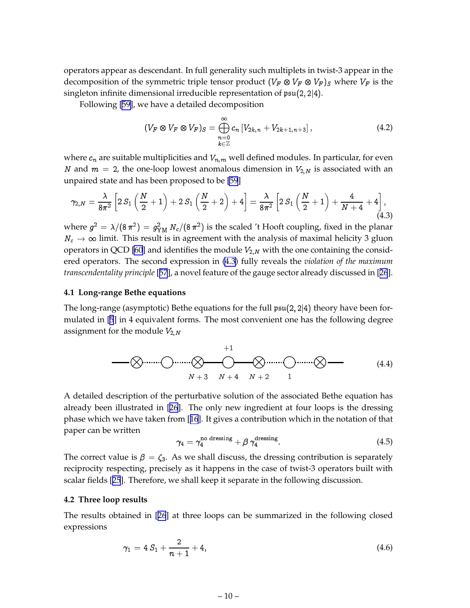<span id="page-11-0"></span>operators appear as descendant. In full generality such multiplets in twist-3 appear in the decomposition of the symmetric triple tensor product  $(V_{F}\otimes V_{F}\otimes V_{F})_{S}$  where  $V_{F}$  is the singleton infinite dimensional irreducible representation of  $\mathfrak{psu}(2,2|4)$ .

Following [\[59\]](#page-36-0), we have a detailed decomposition

$$
(V_F \otimes V_F \otimes V_F)_S = \bigoplus_{\substack{n=0 \ k \in \mathbb{Z}}}^{\infty} c_n \left[ V_{2k,n} + V_{2k+1,n+3} \right], \tag{4.2}
$$

where  $c_n$  are suitable multiplicities and  $V_{n,m}$  well defined modules. In particular, for even N and  $m = 2$ , the one-loop lowest anomalous dimension in  $V_{2,N}$  is associated with an unpaired state and has been proposed to be [\[59](#page-36-0)]

$$
\gamma_{2,N} = \frac{\lambda}{8\pi^2} \left[ 2 S_1 \left( \frac{N}{2} + 1 \right) + 2 S_1 \left( \frac{N}{2} + 2 \right) + 4 \right] = \frac{\lambda}{8\pi^2} \left[ 2 S_1 \left( \frac{N}{2} + 1 \right) + \frac{4}{N+4} + 4 \right],
$$
\n(4.3)

where  $g^2 = \lambda/(8 \, \pi^2) = g_{\text{YM}}^2 \, N_c/(8 \, \pi^2)$  is the scaled 't Hooft coupling, fixed in the planar  $N_c \rightarrow \infty$  limit. This result is in agreement with the analysis of maximal helicity 3 gluon operators in QCD [\[60](#page-36-0)] and identifies the module  $V_{2,N}$  with the one containing the considered operators. The second expression in (4.3) fully reveals the *violation of the maximum transcendentality principle* [[57](#page-35-0)], a novel feature of the gauge sector already discussed in [[26](#page-33-0)].

#### **4.1 Long-range Bethe equations**

The long-range (asymptotic) Bethe equations for the full  $\mathfrak{psu}(2, 2|4)$  theory have been formulated in [\[5](#page-32-0)] in 4 equivalent forms. The most convenient one has the following degree assignment for the module  $V_{2,N}$ 

$$
\begin{array}{c}\n+1 \\
\hline\n\circled{~~} \\
\hline\n\circled{~~} \\
\hline\n\circled{~~} \\
N+3 \\
N+4 \\
N+2 \\
1\n\end{array}
$$
\n
$$
(4.4)
$$

A detailed description of the perturbative solution of the associated Bethe equation has already been illustrated in [\[26](#page-33-0)]. The only new ingredient at four loops is the dressing phase which we have taken from [[16](#page-32-0)]. It gives a contribution which in the notation of that paper can be written

$$
\gamma_4 = \gamma_4^{\text{no dressing}} + \beta \gamma_4^{\text{dressing}}.\tag{4.5}
$$

The correct value is  $\beta = \zeta_3$ . As we shall discuss, the dressing contribution is separately reciprocity respecting, precisely as it happens in the case of twist-3 operators built with scalar fields [[25](#page-33-0)]. Therefore, we shall keep it separate in the following discussion.

#### **4.2 Three loop results**

The results obtained in [[26](#page-33-0)] at three loops can be summarized in the following closed expressions

$$
\gamma_1 = 4 S_1 + \frac{2}{n+1} + 4, \tag{4.6}
$$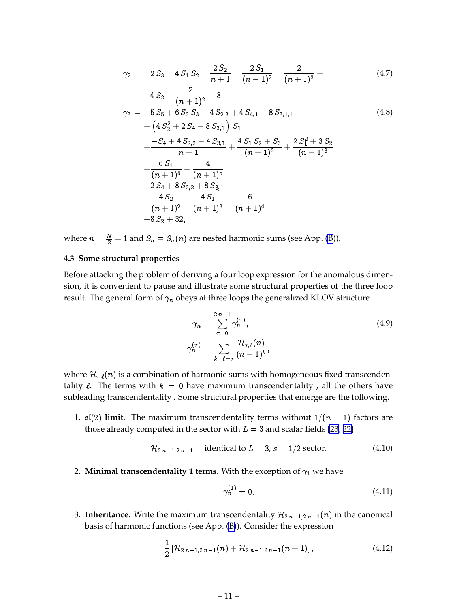<span id="page-12-0"></span>
$$
\gamma_2 = -2 S_3 - 4 S_1 S_2 - \frac{2 S_2}{n+1} - \frac{2 S_1}{(n+1)^2} - \frac{2}{(n+1)^3} + \tag{4.7}
$$

$$
-4 S_2 - \frac{2}{(n+1)^2} - 8,
$$
  
\n
$$
\gamma_3 = +5 S_5 + 6 S_2 S_3 - 4 S_{2,3} + 4 S_{4,1} - 8 S_{3,1,1}
$$
  
\n
$$
+ (4 S_2^2 + 2 S_4 + 8 S_{3,1}) S_1
$$
  
\n
$$
+ \frac{-S_4 + 4 S_{2,2} + 4 S_{3,1}}{n+1} + \frac{4 S_1 S_2 + S_3}{(n+1)^2} + \frac{2 S_1^2 + 3 S_2}{(n+1)^3}
$$
  
\n
$$
+ \frac{6 S_1}{(n+1)^4} + \frac{4}{(n+1)^5}
$$
  
\n
$$
-2 S_4 + 8 S_{2,2} + 8 S_{3,1}
$$
  
\n
$$
+ \frac{4 S_2}{(n+1)^2} + \frac{4 S_1}{(n+1)^3} + \frac{6}{(n+1)^4}
$$
  
\n
$$
+ 8 S_2 + 32,
$$
  
\n(4.8)

where  $n = \frac{N}{2} + 1$  and  $S_a \equiv S_a(n)$  are nested harmonic sums (see App. [\(B](#page-29-0))).

#### **4.3 Some structural properties**

Before attacking the problem of deriving a four loop expression for the anomalous dimension, it is convenient to pause and illustrate some structural properties of the three loop result. The general form of  $\gamma_n$  obeys at three loops the generalized KLOV structure

$$
\gamma_n = \sum_{\tau=0}^{2n-1} \gamma_n^{(\tau)},
$$
  
\n
$$
\gamma_n^{(\tau)} = \sum_{k+\ell=\tau} \frac{\mathcal{H}_{\tau,\ell}(n)}{(n+1)^k},
$$
\n(4.9)

where  $\mathcal{H}_{\tau,\ell}(n)$  is a combination of harmonic sums with homogeneous fixed transcendentality  $\ell$ . The terms with  $k = 0$  have maximum transcendentality, all the others have subleading transcendentality . Some structural properties that emerge are the following.

1.  $\mathfrak{sl}(2)$  **limit**. The maximum transcendentality terms without  $1/(n + 1)$  factors are those already computed in the sector with  $L = 3$  and scalar fields [\[23](#page-33-0), [22\]](#page-33-0)

$$
H_{2n-1,2n-1} = identical to L = 3, s = 1/2 sector.
$$
 (4.10)

2. **Minimal transcendentality 1 terms**. With the exception of  $\gamma_1$  we have

$$
\gamma_n^{(1)} = 0.\tag{4.11}
$$

3. **Inheritance**. Write the maximum transcendentality  $\mathcal{H}_{2n-1,2n-1}(n)$  in the canonical basis of harmonic functions (see App. [\(B\)](#page-29-0)). Consider the expression

$$
\frac{1}{2}\left[\mathcal{H}_{2\;n-1,2\;n-1}(n)+\mathcal{H}_{2\;n-1,2\;n-1}(n+1)\right],\qquad \qquad (4.12)
$$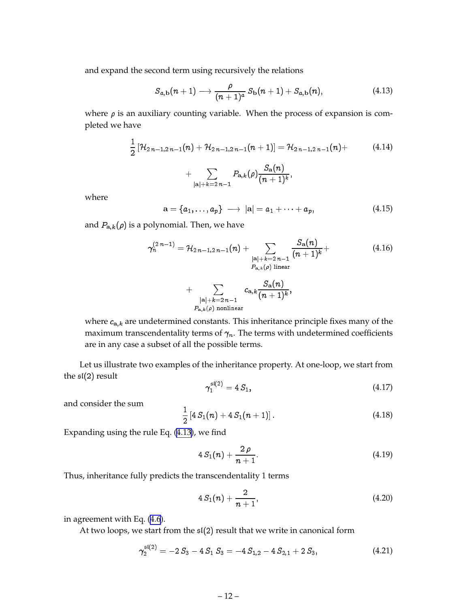and expand the second term using recursively the relations

$$
S_{a,b}(n+1) \longrightarrow \frac{\rho}{(n+1)^a} S_b(n+1) + S_{a,b}(n), \qquad (4.13)
$$

where  $\rho$  is an auxiliary counting variable. When the process of expansion is completed we have

$$
\frac{1}{2} \left[ \mathcal{H}_{2 n - 1, 2 n - 1}(n) + \mathcal{H}_{2 n - 1, 2 n - 1}(n + 1) \right] = \mathcal{H}_{2 n - 1, 2 n - 1}(n) + \sum_{|\mathbf{a}| + k = 2 n - 1} P_{\mathbf{a}, k}(\rho) \frac{S_{\mathbf{a}}(n)}{(n + 1)^k},
$$
\n(4.14)

where

$$
\mathbf{a} = \{a_1, \ldots, a_p\} \longrightarrow |\mathbf{a}| = a_1 + \cdots + a_p, \tag{4.15}
$$

and  $P_{a,k}(\rho)$  is a polynomial. Then, we have

$$
\gamma_n^{(2\,n-1)} = \mathcal{H}_{2\,n-1,2\,n-1}(n) + \sum_{\substack{|\mathbf{a}|+k=2\,n-1 \ \mathbf{a},k(\rho) \text{ linear}}} \frac{S_{\mathbf{a}}(n)}{(n+1)^k} + \sum_{\substack{|\mathbf{a}|+k=2\,n-1 \ \mathbf{a},k(\rho) \text{ nonlinear}}} c_{\mathbf{a},k} \frac{S_{\mathbf{a}}(n)}{(n+1)^k},
$$
\n(4.16)

where  $c_{a,k}$  are undetermined constants. This inheritance principle fixes many of the maximum transcendentality terms of  $\gamma_n$ . The terms with undetermined coefficients are in any case a subset of all the possible terms.

Let us illustrate two examples of the inheritance property. At one-loop, we start from the  $\mathfrak{sl}(2)$  result

$$
\gamma_1^{\mathfrak{sl}(2)} = 4 S_1,\tag{4.17}
$$

and consider the sum

$$
\frac{1}{2}\left[4 S_1(n) + 4 S_1(n+1)\right]. \tag{4.18}
$$

Expanding using the rule Eq. (4.13), we find

sl(2)

$$
4 S_1(n) + \frac{2 \rho}{n+1}.
$$
\n(4.19)

Thus, inheritance fully predicts the transcendentality 1 terms

$$
4 S_1(n) + \frac{2}{n+1}, \tag{4.20}
$$

in agreement with Eq. ([4.6](#page-11-0)).

At two loops, we start from the  $\mathfrak{sl}(2)$  result that we write in canonical form

$$
\gamma_2^{\mathfrak{sl}(2)} = -2 S_3 - 4 S_1 S_3 = -4 S_{1,2} - 4 S_{2,1} + 2 S_3, \qquad (4.21)
$$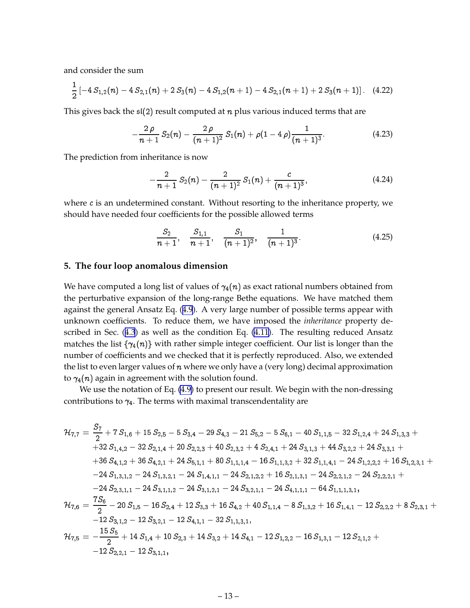<span id="page-14-0"></span>and consider the sum

$$
\frac{1}{2}\left[-4S_{1,2}(n)-4S_{2,1}(n)+2S_3(n)-4S_{1,2}(n+1)-4S_{2,1}(n+1)+2S_3(n+1)\right]. \quad (4.22)
$$

This gives back the  $\mathfrak{sl}(2)$  result computed at n plus various induced terms that are

$$
-\frac{2 \rho}{n+1} S_2(n) - \frac{2 \rho}{(n+1)^2} S_1(n) + \rho(1-4 \rho) \frac{1}{(n+1)^3}.
$$
 (4.23)

The prediction from inheritance is now

$$
-\frac{2}{n+1}\,S_2(n)-\frac{2}{(n+1)^2}\,S_1(n)+\frac{c}{(n+1)^3},\qquad \qquad (4.24)
$$

where  $c$  is an undetermined constant. Without resorting to the inheritance property, we should have needed four coefficients for the possible allowed terms

$$
\frac{S_2}{n+1}, \quad \frac{S_{1,1}}{n+1}, \quad \frac{S_1}{(n+1)^2}, \quad \frac{1}{(n+1)^3}.
$$
 (4.25)

#### **5. The four loop anomalous dimension**

We have computed a long list of values of  $\gamma_4(n)$  as exact rational numbers obtained from the perturbative expansion of the long-range Bethe equations. We have matched them against the general Ansatz Eq. ([4.9](#page-12-0)). A very large number of possible terms appear with unknown coefficients. To reduce them, we have imposed the *inheritance* property described in Sec. ([4.3](#page-12-0)) as well as the condition Eq. [\(4.11](#page-12-0)). The resulting reduced Ansatz matches the list  $\{\gamma_4(n)\}\$  with rather simple integer coefficient. Our list is longer than the number of coefficients and we checked that it is perfectly reproduced. Also, we extended the list to even larger values of  $n$  where we only have a (very long) decimal approximation to  $\gamma_4(n)$  again in agreement with the solution found.

We use the notation of Eq.  $(4.9)$  $(4.9)$  to present our result. We begin with the non-dressing contributions to  $\gamma_4$ . The terms with maximal transcendentality are

$$
\begin{aligned} \mathcal{H}_{7,7} &= \frac{S_7}{2} + 7\, S_{1,6} + 15\, S_{2,5} - 5\, S_{3,4} - 29\, S_{4,3} - 21\, S_{5,2} - 5\, S_{6,1} - 40\, S_{1,1,5} - 32\, S_{1,2,4} + 24\, S_{1,3,3} + \\ & \quad + 32\, S_{1,4,2} - 32\, S_{2,1,4} + 20\, S_{2,2,3} + 40\, S_{2,3,2} + 4\, S_{2,4,1} + 24\, S_{3,1,3} + 44\, S_{3,2,2} + 24\, S_{3,3,1} + \\ & \quad + 36\, S_{4,1,2} + 36\, S_{4,2,1} + 24\, S_{5,1,1} + 80\, S_{1,1,1,4} - 16\, S_{1,1,3,2} + 32\, S_{1,1,4,1} - 24\, S_{1,2,2,2} + 16\, S_{1,2,3,1} + \\ & \quad - 24\, S_{1,3,1,2} - 24\, S_{1,3,2,1} - 24\, S_{1,4,1,1} - 24\, S_{2,1,2,2} + 16\, S_{2,1,3,1} - 24\, S_{2,2,1,2} - 24\, S_{2,2,2,1} + \\ & \quad - 24\, S_{2,3,1,1} - 24\, S_{3,1,1,2} - 24\, S_{3,1,2,1} - 24\, S_{3,2,1,1} - 24\, S_{4,1,1,1} - 64\, S_{1,1,1,3,1}, \\ & \mathcal{H}_{7,6} &= \frac{7\, S_6}{2} - 20\, S_{1,5} - 16\, S_{2,4} + 12\, S_{3,3} + 16\, S_{4,2} + 40\, S_{1,1,4} - 8\, S_{1,3,2} + 16\, S_{1,4,1} - 12\, S_{2,2,2} + 8\, S_{2,3,1} + \\ & \quad - 12\, S_{3,1,2} -
$$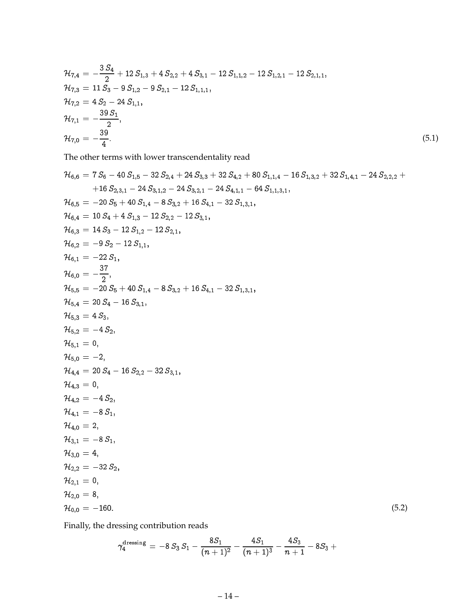$$
\mathcal{H}_{7,4} = -\frac{3 S_4}{2} + 12 S_{1,3} + 4 S_{2,2} + 4 S_{3,1} - 12 S_{1,1,2} - 12 S_{1,2,1} - 12 S_{2,1,1}, \n\mathcal{H}_{7,3} = 11 S_3 - 9 S_{1,2} - 9 S_{2,1} - 12 S_{1,1,1}, \n\mathcal{H}_{7,2} = 4 S_2 - 24 S_{1,1}, \n\mathcal{H}_{7,1} = -\frac{39 S_1}{2}, \n\mathcal{H}_{7,0} = -\frac{39}{4}.
$$
\n(5.1)

The other terms with lower transcendentality read

$$
\mathcal{H}_{6,6} = 7 S_{6} - 40 S_{1,5} - 32 S_{2,4} + 24 S_{3,3} + 32 S_{4,2} + 80 S_{1,1,4} - 16 S_{1,3,2} + 32 S_{1,4,1} - 24 S_{2,2,2} + 16 S_{2,3,1} - 24 S_{3,1,2} - 24 S_{3,2,1} - 24 S_{4,1,1} - 64 S_{1,1,3,1}, \n
$$
\mathcal{H}_{6,5} = -20 S_{5} + 40 S_{1,4} - 8 S_{3,2} + 16 S_{4,1} - 32 S_{1,3,1}, \n
$$
\mathcal{H}_{6,4} = 10 S_{4} + 4 S_{1,3} - 12 S_{2,2} - 12 S_{3,1}, \n
$$
\mathcal{H}_{6,3} = 14 S_{3} - 12 S_{1,2} - 12 S_{2,1}, \n
$$
\mathcal{H}_{6,2} = -9 S_{2} - 12 S_{1,1}, \n
$$
\mathcal{H}_{6,1} = -22 S_{1}, \n
$$
\mathcal{H}_{6,1} = 22 S_{1}, \n
$$
\mathcal{H}_{5,5} = -20 S_{5} + 40 S_{1,4} - 8 S_{3,2} + 16 S_{4,1} - 32 S_{1,3,1}, \n
$$
\mathcal{H}_{5,4} = 20 S_{4} - 16 S_{3,1}, \n
$$
\mathcal{H}_{5,4} = 20 S_{4} - 16 S_{3,1}, \n
$$
\mathcal{H}_{5,1} = 0, \n
$$
\mathcal{H}_{5,1} = 0, \n
$$
\mathcal{H}_{5,2} = -4 S_{2}, \n
$$
\mathcal{H}_{4,3} = 0, \n
$$
\mathcal{H}_{4,4} = 20 S_{4} - 16 S_{2,2} - 32 S_{3,1}, \n
$$
\mathcal{H}_{4,4} = 28 S_{4}, \n
$$
\mathcal{H}_{4,1} = -
$$
$$
$$
$$
$$
$$
$$
$$
$$
$$
$$
$$
$$
$$
$$
$$
$$

Finally, the dressing contribution reads

$$
\gamma^{\rm{dressing}}_4\,=\,-8\,S_3\,S_1-\frac{8S_1}{(n+1)^2}-\frac{4S_1}{(n+1)^3}-\frac{4S_3}{n+1}-8S_3+\\
$$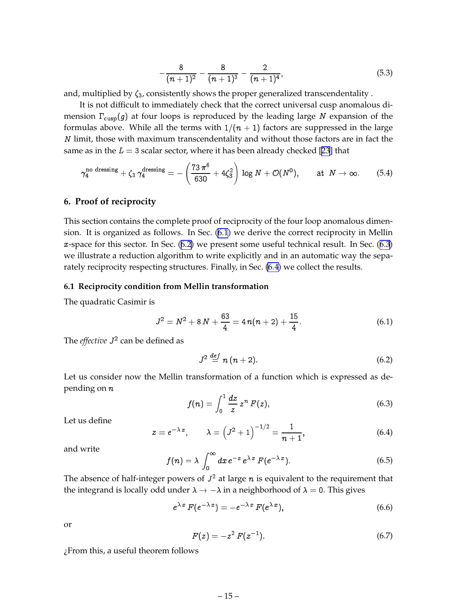$$
-\frac{8}{(n+1)^2}-\frac{8}{(n+1)^3}-\frac{2}{(n+1)^4},\hspace{1.5cm} (5.3)
$$

<span id="page-16-0"></span>and, multiplied by  $\zeta_3$ , consistently shows the proper generalized transcendentality.

It is not difficult to immediately check that the correct universal cusp anomalous dimension  $\Gamma_{\text{cusp}}(g)$  at four loops is reproduced by the leading large N expansion of the formulas above. While all the terms with  $1/(n + 1)$  factors are suppressed in the large N limit, those with maximum transcendentality and without those factors are in fact the same as in the  $L = 3$  scalar sector, where it has been already checked [\[23](#page-33-0)] that

$$
\gamma_4^{\text{no dressing}} + \zeta_3 \,\gamma_4^{\text{dressing}} = -\left(\frac{73 \,\pi^6}{630} + 4\zeta_3^2\right) \log N + \mathcal{O}(N^0), \qquad \text{at } N \to \infty. \tag{5.4}
$$

## **6. Proof of reciprocity**

This section contains the complete proof of reciprocity of the four loop anomalous dimension. It is organized as follows. In Sec. (6.1) we derive the correct reciprocity in Mellin x-space for this sector. In Sec. ([6.2](#page-17-0)) we present some useful technical result. In Sec. ([6.3](#page-18-0)) we illustrate a reduction algorithm to write explicitly and in an automatic way the separately reciprocity respecting structures. Finally, in Sec. [\(6.4\)](#page-18-0) we collect the results.

## **6.1 Reciprocity condition from Mellin transformation**

The quadratic Casimir is

$$
J^2 = N^2 + 8N + \frac{63}{4} = 4 n(n+2) + \frac{15}{4}.
$$
 (6.1)

The *effective J<sup>2</sup> can be defined as* 

$$
J^2 \stackrel{def}{=} n(n+2). \tag{6.2}
$$

Let us consider now the Mellin transformation of a function which is expressed as depending on <sup>n</sup>

$$
f(n) = \int_0^1 \frac{dz}{z} z^n F(z), \qquad (6.3)
$$

Let us define

$$
z = e^{-\lambda x}
$$
,  $\lambda = (J^2 + 1)^{-1/2} = \frac{1}{n+1}$ , (6.4)

and write

$$
f(n) = \lambda \int_0^\infty dx \, e^{-x} \, e^{\lambda x} \, F(e^{-\lambda x}). \tag{6.5}
$$

The absence of half-integer powers of  $J^2$  at large  $n$  is equivalent to the requirement that the integrand is locally odd under  $\lambda \to -\lambda$  in a neighborhood of  $\lambda = 0$ . This gives

$$
e^{\lambda x} F(e^{-\lambda x}) = -e^{-\lambda x} F(e^{\lambda x}), \qquad (6.6)
$$

or

$$
F(z) = -z^2 F(z^{-1}).
$$
\n(6.7)

¿From this, a useful theorem follows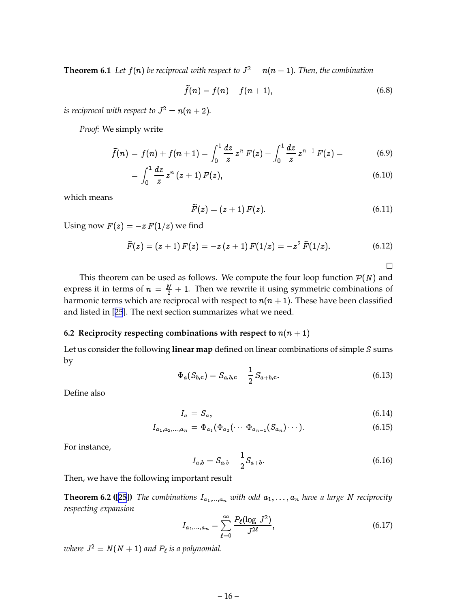<span id="page-17-0"></span>**Theorem 6.1** Let  $f(n)$  be reciprocal with respect to  $J^2 = n(n + 1)$ . Then, the combination

$$
\tilde{f}(n) = f(n) + f(n+1),\tag{6.8}
$$

*is reciprocal with respect to*  $J^2 = n(n+2)$ *.* 

*Proof:* We simply write

$$
\tilde{f}(n) = f(n) + f(n+1) = \int_0^1 \frac{dz}{z} z^n F(z) + \int_0^1 \frac{dz}{z} z^{n+1} F(z) = \qquad (6.9)
$$

$$
=\int_0^1 \frac{dz}{z} z^n (z+1) F(z), \qquad (6.10)
$$

which means

$$
\widetilde{F}(z) = (z+1) F(z). \tag{6.11}
$$

Using now  $F(z) = -z F(1/z)$  we find

$$
\widetilde{F}(z) = (z+1) F(z) = -z (z+1) F(1/z) = -z^2 \widetilde{F}(1/z).
$$
 (6.12)

 $\Box$ 

This theorem can be used as follows. We compute the four loop function  $P(N)$  and express it in terms of  $n = \frac{N}{2} + 1$ . Then we rewrite it using symmetric combinations of harmonic terms which are reciprocal with respect to  $n(n + 1)$ . These have been classified and listed in [[25](#page-33-0)]. The next section summarizes what we need.

# **6.2 Reciprocity respecting combinations with respect to**  $n(n + 1)$

Let us consider the following **linear map** defined on linear combinations of simple S sums by

$$
\Phi_a(S_{b,c}) = S_{a,b,c} - \frac{1}{2} S_{a+b,c}.
$$
\n(6.13)

Define also

$$
I_a = S_a, \t\t(6.14)
$$

$$
I_{a_1,a_2,...,a_n} = \Phi_{a_1}(\Phi_{a_2}(\cdots \Phi_{a_{n-1}}(S_{a_n})\cdots)).
$$
\n(6.15)

For instance,

$$
I_{a,b} = S_{a,b} - \frac{1}{2}S_{a+b}.\tag{6.16}
$$

Then, we have the following important result

**Theorem 6.2 ([\[25](#page-33-0)])** *The combinations*  $I_{a_1,\dots,a_n}$  *with odd*  $a_1,\dots,a_n$  *have a large N reciprocity respecting expansion*

$$
I_{a_1,...,a_n} = \sum_{\ell=0}^{\infty} \frac{P_{\ell}(\log J^2)}{J^{2\ell}},\tag{6.17}
$$

*where*  $J^2 = N(N + 1)$  *and*  $P_\ell$  *is a polynomial.*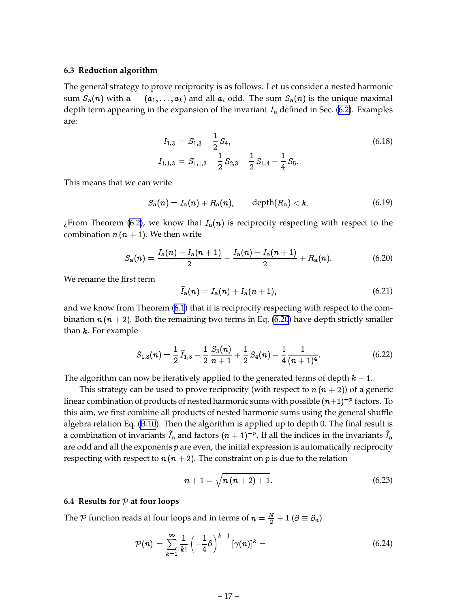#### <span id="page-18-0"></span>**6.3 Reduction algorithm**

The general strategy to prove reciprocity is as follows. Let us consider a nested harmonic sum  $S_a(n)$  with  $a = (a_1, \ldots, a_k)$  and all  $a_i$  odd. The sum  $S_a(n)$  is the unique maximal depth term appearing in the expansion of the invariant  $I_a$  defined in Sec. [\(6.2\)](#page-17-0). Examples are:

$$
I_{1,3} = S_{1,3} - \frac{1}{2} S_4,
$$
  
\n
$$
I_{1,1,3} = S_{1,1,3} - \frac{1}{2} S_{2,3} - \frac{1}{2} S_{1,4} + \frac{1}{4} S_5.
$$
\n(6.18)

This means that we can write

$$
S_{\mathbf{a}}(n) = I_{\mathbf{a}}(n) + R_{\mathbf{a}}(n), \qquad \text{depth}(R_{\mathbf{a}}) < k. \tag{6.19}
$$

¿From Theorem [\(6.2\)](#page-17-0), we know that  $I_a(n)$  is reciprocity respecting with respect to the combination  $n (n + 1)$ . We then write

$$
S_{\mathbf{a}}(n) = \frac{I_{\mathbf{a}}(n) + I_{\mathbf{a}}(n+1)}{2} + \frac{I_{\mathbf{a}}(n) - I_{\mathbf{a}}(n+1)}{2} + R_{\mathbf{a}}(n). \tag{6.20}
$$

We rename the first term

$$
\widetilde{I}_{\mathbf{a}}(n) = I_{\mathbf{a}}(n) + I_{\mathbf{a}}(n+1),\tag{6.21}
$$

and we know from Theorem [\(6.1\)](#page-17-0) that it is reciprocity respecting with respect to the combination  $n (n + 2)$ . Both the remaining two terms in Eq. (6.20) have depth strictly smaller than  $k$ . For example

$$
S_{1,3}(n) = \frac{1}{2}\,\tilde{I}_{1,3} - \frac{1}{2}\,\frac{S_3(n)}{n+1} + \frac{1}{2}\,S_4(n) - \frac{1}{4}\frac{1}{(n+1)^4}.\tag{6.22}
$$

The algorithm can now be iteratively applied to the generated terms of depth  $k - 1$ .

This strategy can be used to prove reciprocity (with respect to  $n(n+2)$ ) of a generic linear combination of products of nested harmonic sums with possible  $(n{+}1)^{-p}$  factors. To this aim, we first combine all products of nested harmonic sums using the general shuffle algebra relation Eq. [\(B.10](#page-30-0)). Then the algorithm is applied up to depth 0. The final result is a combination of invariants  $I_{\bf a}$  and factors  $(n+1)^{-p}.$  If all the indices in the invariants  $I_{\bf a}$ are odd and all the exponents  $p$  are even, the initial expression is automatically reciprocity respecting with respect to  $n (n + 2)$ . The constraint on p is due to the relation

$$
n+1 = \sqrt{n(n+2)+1}.
$$
 (6.23)

#### **6.4 Results for** <sup>P</sup> **at four loops**

The P function reads at four loops and in terms of  $n = \frac{N}{2} + 1$  ( $\partial \equiv \partial_n$ )

$$
\mathcal{P}(n) = \sum_{k=1}^{\infty} \frac{1}{k!} \left(-\frac{1}{4}\partial\right)^{k-1} \left[\gamma(n)\right]^k = \tag{6.24}
$$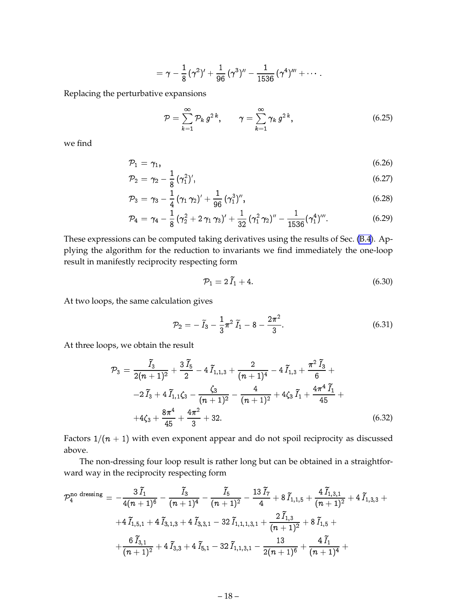$$
=\gamma-\frac{1}{8}\,(\gamma^2)'+\frac{1}{96}\,(\gamma^3)''-\frac{1}{1536}\,(\gamma^4)'''+\cdots.
$$

Replacing the perturbative expansions

$$
\mathcal{P} = \sum_{k=1}^{\infty} \mathcal{P}_k g^{2k}, \qquad \gamma = \sum_{k=1}^{\infty} \gamma_k g^{2k}, \qquad (6.25)
$$

we find

$$
\mathcal{P}_1 = \gamma_1,\tag{6.26}
$$

$$
\mathcal{P}_2 = \gamma_2 - \frac{1}{8} (\gamma_1^2)', \tag{6.27}
$$

$$
\mathcal{P}_3 = \gamma_3 - \frac{1}{4} (\gamma_1 \gamma_2)' + \frac{1}{96} (\gamma_1^3)'' , \qquad (6.28)
$$

$$
\mathcal{P}_4 = \gamma_4 - \frac{1}{8} \left( \gamma_2^2 + 2 \gamma_1 \gamma_3 \right)' + \frac{1}{32} \left( \gamma_1^2 \gamma_2 \right)'' - \frac{1}{1536} \left( \gamma_1^4 \right)'''.
$$
 (6.29)

These expressions can be computed taking derivatives using the results of Sec. [\(B.4](#page-31-0)). Applying the algorithm for the reduction to invariants we find immediately the one-loop result in manifestly reciprocity respecting form

$$
\mathcal{P}_1 = 2\,\tilde{I}_1 + 4.\tag{6.30}
$$

At two loops, the same calculation gives

$$
\mathcal{P}_2 = -\tilde{I}_3 - \frac{1}{3}\pi^2 \tilde{I}_1 - 8 - \frac{2\pi^2}{3}.
$$
\n(6.31)

At three loops, we obtain the result

$$
\mathcal{P}_3 = \frac{\tilde{I}_3}{2(n+1)^2} + \frac{3\tilde{I}_5}{2} - 4\tilde{I}_{1,1,3} + \frac{2}{(n+1)^4} - 4\tilde{I}_{1,3} + \frac{\pi^2\tilde{I}_3}{6} +
$$
  
\n
$$
-2\tilde{I}_3 + 4\tilde{I}_{1,1}\zeta_3 - \frac{\zeta_3}{(n+1)^2} - \frac{4}{(n+1)^2} + 4\zeta_3\tilde{I}_1 + \frac{4\pi^4\tilde{I}_1}{45} +
$$
  
\n
$$
+4\zeta_3 + \frac{8\pi^4}{45} + \frac{4\pi^2}{3} + 32.
$$
 (6.32)

Factors  $1/(n + 1)$  with even exponent appear and do not spoil reciprocity as discussed above.

The non-dressing four loop result is rather long but can be obtained in a straightforward way in the reciprocity respecting form

$$
\begin{aligned} \mathcal{P}^{\text{no dressing}}_4\,=\,-\frac{3\,\widetilde{I}_1}{4(n+1)^6}-\frac{\widetilde{I}_3}{(n+1)^4}-\frac{\widetilde{I}_5}{(n+1)^2}-\frac{13\,\widetilde{I}_7}{4}+8\,\widetilde{I}_{1,1,5}+\frac{4\,\widetilde{I}_{1,3,1}}{(n+1)^2}+4\,\widetilde{I}_{1,3,3}+\\&+4\,\widetilde{I}_{1,5,1}+4\,\widetilde{I}_{3,1,3}+4\,\widetilde{I}_{3,3,1}-32\,\widetilde{I}_{1,1,1,3,1}+\frac{2\,\widetilde{I}_{1,3}}{(n+1)^2}+8\,\widetilde{I}_{1,5}+\\&+\frac{6\,\widetilde{I}_{3,1}}{(n+1)^2}+4\,\widetilde{I}_{3,3}+4\,\widetilde{I}_{5,1}-32\,\widetilde{I}_{1,1,3,1}-\frac{13}{2(n+1)^6}+\frac{4\,\widetilde{I}_1}{(n+1)^4}+\\ \end{aligned}
$$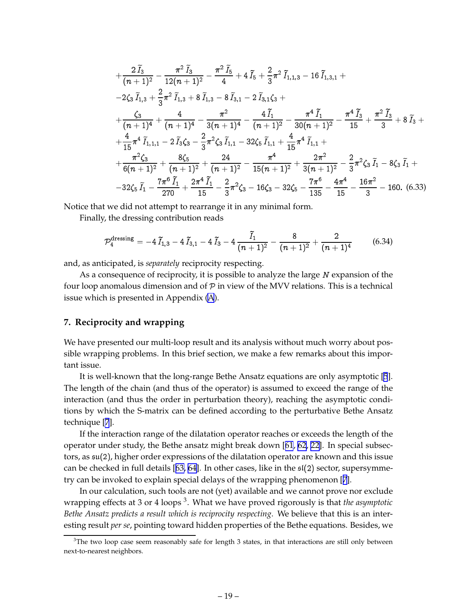<span id="page-20-0"></span>
$$
+\frac{2\tilde{I}_{3}}{(n+1)^{2}}-\frac{\pi^{2}\tilde{I}_{3}}{12(n+1)^{2}}-\frac{\pi^{2}\tilde{I}_{5}}{4}+4\tilde{I}_{5}+\frac{2}{3}\pi^{2}\tilde{I}_{1,1,3}-16\tilde{I}_{1,3,1}+ \\-2\zeta_{3}\tilde{I}_{1,3}+\frac{2}{3}\pi^{2}\tilde{I}_{1,3}+8\tilde{I}_{1,3}-8\tilde{I}_{3,1}-2\tilde{I}_{3,1}\zeta_{3}+ \\+\frac{\zeta_{3}}{(n+1)^{4}}+\frac{4}{(n+1)^{4}}-\frac{\pi^{2}}{3(n+1)^{4}}-\frac{4\tilde{I}_{1}}{(n+1)^{2}}-\frac{\pi^{4}\tilde{I}_{1}}{30(n+1)^{2}}-\frac{\pi^{4}\tilde{I}_{3}}{15}+\frac{\pi^{2}\tilde{I}_{3}}{3}+8\tilde{I}_{3}+ \\+\frac{4}{15}\pi^{4}\tilde{I}_{1,1,1}-2\tilde{I}_{3}\zeta_{3}-\frac{2}{3}\pi^{2}\zeta_{3}\tilde{I}_{1,1}-32\zeta_{5}\tilde{I}_{1,1}+\frac{4}{15}\pi^{4}\tilde{I}_{1,1}+ \\+\frac{\pi^{2}\zeta_{3}}{6(n+1)^{2}}+\frac{8\zeta_{5}}{(n+1)^{2}}+\frac{24}{(n+1)^{2}}-\frac{\pi^{4}}{15(n+1)^{2}}+\frac{2\pi^{2}}{3(n+1)^{2}}-\frac{2}{3}\pi^{2}\zeta_{3}\tilde{I}_{1}-8\zeta_{3}\tilde{I}_{1}+ \\-32\zeta_{5}\tilde{I}_{1}-\frac{7\pi^{6}\tilde{I}_{1}}{270}+\frac{2\pi^{4}\tilde{I}_{1}}{15}-\frac{2}{3}\pi^{2}\zeta_{3}-16\zeta_{3}-32\zeta_{5}-\frac{7\pi^{6}}{135}-\frac{4\pi^{4}}{15}-\frac{16\pi^{2}}{3}-160. (6.33)
$$

Notice that we did not attempt to rearrange it in any minimal form.

Finally, the dressing contribution reads

$$
\mathcal{P}_4^{\text{dressing}} = -4\,\tilde{I}_{1,3} - 4\,\tilde{I}_{3,1} - 4\,\tilde{I}_3 - 4\,\frac{\tilde{I}_1}{(n+1)^2} - \frac{8}{(n+1)^2} + \frac{2}{(n+1)^4} \tag{6.34}
$$

and, as anticipated, is *separately* reciprocity respecting.

As a consequence of reciprocity, it is possible to analyze the large N expansion of the four loop anomalous dimension and of  $P$  in view of the MVV relations. This is a technical issue which is presented in Appendix ([A](#page-23-0)).

# **7. Reciprocity and wrapping**

We have presented our multi-loop result and its analysis without much worry about possible wrapping problems. In this brief section, we make a few remarks about this important issue.

It is well-known that the long-range Bethe Ansatz equations are only asymptotic [\[5](#page-32-0)]. The length of the chain (and thus of the operator) is assumed to exceed the range of the interaction (and thus the order in perturbation theory), reaching the asymptotic conditions by which the S-matrix can be defined according to the perturbative Bethe Ansatz technique [\[7](#page-32-0)].

If the interaction range of the dilatation operator reaches or exceeds the length of the operator under study, the Bethe ansatz might break down [[61](#page-36-0), [62](#page-36-0), [22](#page-33-0)]. In special subsectors, as su(2), higher order expressions of the dilatation operator are known and this issue can be checked in full details [[63, 64](#page-36-0)]. In other cases, like in the  $\mathfrak{sl}(2)$  sector, supersymmetry can be invoked to explain special delays of the wrapping phenomenon [[7](#page-32-0)].

In our calculation, such tools are not (yet) available and we cannot prove nor exclude wrapping effects at 3 or 4 loops <sup>3</sup> . What we have proved rigorously is that *the asymptotic Bethe Ansatz predicts a result which is reciprocity respecting*. We believe that this is an interesting result *per se*, pointing toward hidden properties of the Bethe equations. Besides, we

 $3$ The two loop case seem reasonably safe for length 3 states, in that interactions are still only between next-to-nearest neighbors.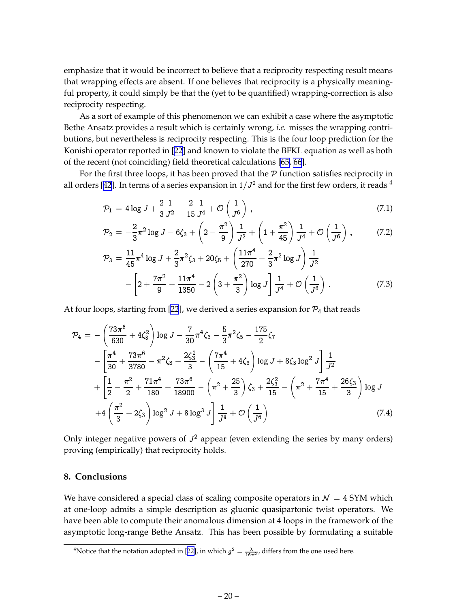<span id="page-21-0"></span>emphasize that it would be incorrect to believe that a reciprocity respecting result means that wrapping effects are absent. If one believes that reciprocity is a physically meaningful property, it could simply be that the (yet to be quantified) wrapping-correction is also reciprocity respecting.

As a sort of example of this phenomenon we can exhibit a case where the asymptotic Bethe Ansatz provides a result which is certainly wrong, *i.e.* misses the wrapping contributions, but nevertheless is reciprocity respecting. This is the four loop prediction for the Konishi operator reported in [\[22](#page-33-0)] and known to violate the BFKL equation as well as both of the recent (not coinciding) field theoretical calculations [\[65, 66](#page-36-0)].

For the first three loops, it has been proved that the  $P$  function satisfies reciprocity in all orders [[42](#page-34-0)]. In terms of a series expansion in  $1/J^2$  and for the first few orders, it reads  $^4$ 

$$
\mathcal{P}_1 = 4\log J + \frac{2}{3}\frac{1}{J^2} - \frac{2}{15}\frac{1}{J^4} + \mathcal{O}\left(\frac{1}{J^6}\right) \,,\tag{7.1}
$$

$$
\mathcal{P}_2 = -\frac{2}{3}\pi^2 \log J - 6\zeta_3 + \left(2 - \frac{\pi^2}{9}\right) \frac{1}{J^2} + \left(1 + \frac{\pi^2}{45}\right) \frac{1}{J^4} + \mathcal{O}\left(\frac{1}{J^6}\right) ,\tag{7.2}
$$

$$
\mathcal{P}_3 = \frac{11}{45} \pi^4 \log J + \frac{2}{3} \pi^2 \zeta_3 + 20 \zeta_5 + \left( \frac{11 \pi^4}{270} - \frac{2}{3} \pi^2 \log J \right) \frac{1}{J^2} -\left[ 2 + \frac{7 \pi^2}{9} + \frac{11 \pi^4}{1350} - 2 \left( 3 + \frac{\pi^2}{3} \right) \log J \right] \frac{1}{J^4} + \mathcal{O} \left( \frac{1}{J^6} \right) .
$$
 (7.3)

At four loops, starting from [\[22](#page-33-0)], we derived a series expansion for  $\mathcal{P}_4$  that reads

$$
\mathcal{P}_{4} = -\left(\frac{73\pi^{6}}{630} + 4\zeta_{3}^{2}\right) \log J - \frac{7}{30}\pi^{4}\zeta_{3} - \frac{5}{3}\pi^{2}\zeta_{5} - \frac{175}{2}\zeta_{7}
$$
\n
$$
-\left[\frac{\pi^{4}}{30} + \frac{73\pi^{6}}{3780} - \pi^{2}\zeta_{3} + \frac{2\zeta_{3}^{2}}{3} - \left(\frac{7\pi^{4}}{15} + 4\zeta_{3}\right) \log J + 8\zeta_{3} \log^{2} J\right] \frac{1}{J^{2}}
$$
\n
$$
+\left[\frac{1}{2} - \frac{\pi^{2}}{2} + \frac{71\pi^{4}}{180} + \frac{73\pi^{6}}{18900} - \left(\pi^{2} + \frac{25}{3}\right)\zeta_{3} + \frac{2\zeta_{3}^{2}}{15} - \left(\pi^{2} + \frac{7\pi^{4}}{15} + \frac{26\zeta_{3}}{3}\right) \log J
$$
\n
$$
+4\left(\frac{\pi^{2}}{3} + 2\zeta_{3}\right) \log^{2} J + 8 \log^{3} J\right] \frac{1}{J^{4}} + \mathcal{O}\left(\frac{1}{J^{6}}\right)
$$
\n(7.4)

Only integer negative powers of  $J^2$  appear (even extending the series by many orders) proving (empirically) that reciprocity holds.

# **8. Conclusions**

We have considered a special class of scaling composite operators in  $\mathcal{N} = 4$  SYM which at one-loop admits a simple description as gluonic quasipartonic twist operators. We have been able to compute their anomalous dimension at 4 loops in the framework of the asymptotic long-range Bethe Ansatz. This has been possible by formulating a suitable

<sup>&</sup>lt;sup>4</sup>Notice that the notation adopted in [[22\]](#page-33-0), in which  $g^2 = \frac{\lambda}{16\pi^2}$ , differs from the one used here.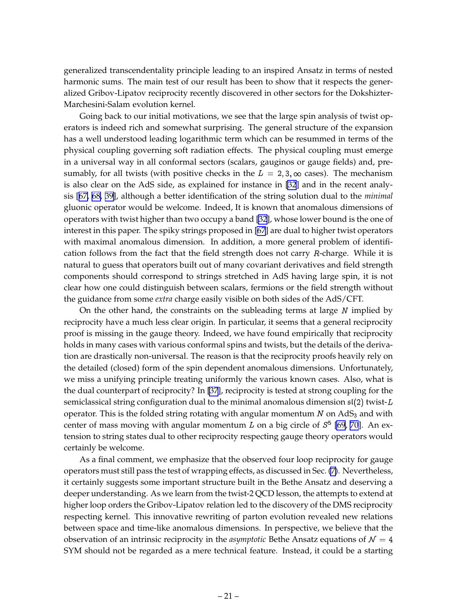generalized transcendentality principle leading to an inspired Ansatz in terms of nested harmonic sums. The main test of our result has been to show that it respects the generalized Gribov-Lipatov reciprocity recently discovered in other sectors for the Dokshizter-Marchesini-Salam evolution kernel.

Going back to our initial motivations, we see that the large spin analysis of twist operators is indeed rich and somewhat surprising. The general structure of the expansion has a well understood leading logarithmic term which can be resummed in terms of the physical coupling governing soft radiation effects. The physical coupling must emerge in a universal way in all conformal sectors (scalars, gauginos or gauge fields) and, presumably, for all twists (with positive checks in the  $L = 2,3,\infty$  cases). The mechanism is also clear on the AdS side, as explained for instance in [\[32](#page-33-0)] and in the recent analysis [[67, 68,](#page-36-0) [39\]](#page-34-0), although a better identification of the string solution dual to the *minimal* gluonic operator would be welcome. Indeed, It is known that anomalous dimensions of operators with twist higher than two occupy a band [\[32](#page-33-0)], whose lower bound is the one of interest in this paper. The spiky strings proposed in [\[67](#page-36-0)] are dual to higher twist operators with maximal anomalous dimension. In addition, a more general problem of identification follows from the fact that the field strength does not carry  $R$ -charge. While it is natural to guess that operators built out of many covariant derivatives and field strength components should correspond to strings stretched in AdS having large spin, it is not clear how one could distinguish between scalars, fermions or the field strength without the guidance from some *extra* charge easily visible on both sides of the AdS/CFT.

On the other hand, the constraints on the subleading terms at large  $N$  implied by reciprocity have a much less clear origin. In particular, it seems that a general reciprocity proof is missing in the gauge theory. Indeed, we have found empirically that reciprocity holds in many cases with various conformal spins and twists, but the details of the derivation are drastically non-universal. The reason is that the reciprocity proofs heavily rely on the detailed (closed) form of the spin dependent anomalous dimensions. Unfortunately, we miss a unifying principle treating uniformly the various known cases. Also, what is the dual counterpart of reciprocity? In [\[37](#page-34-0)], reciprocity is tested at strong coupling for the semiclassical string configuration dual to the minimal anomalous dimension  $\mathfrak{sl}(2)$  twist-L operator. This is the folded string rotating with angular momentum  $N$  on AdS<sub>3</sub> and with center of mass moving with angular momentum L on a big circle of  $S^5$  [\[69](#page-36-0), [70](#page-36-0)]. An extension to string states dual to other reciprocity respecting gauge theory operators would certainly be welcome.

As a final comment, we emphasize that the observed four loop reciprocity for gauge operators must still pass the test of wrapping effects, as discussed in Sec. [\(7\)](#page-20-0). Nevertheless, it certainly suggests some important structure built in the Bethe Ansatz and deserving a deeper understanding. As we learn from the twist-2 QCD lesson, the attempts to extend at higher loop orders the Gribov-Lipatov relation led to the discovery of the DMS reciprocity respecting kernel. This innovative rewriting of parton evolution revealed new relations between space and time-like anomalous dimensions. In perspective, we believe that the observation of an intrinsic reciprocity in the *asymptotic* Bethe Ansatz equations of  $\mathcal{N} = 4$ SYM should not be regarded as a mere technical feature. Instead, it could be a starting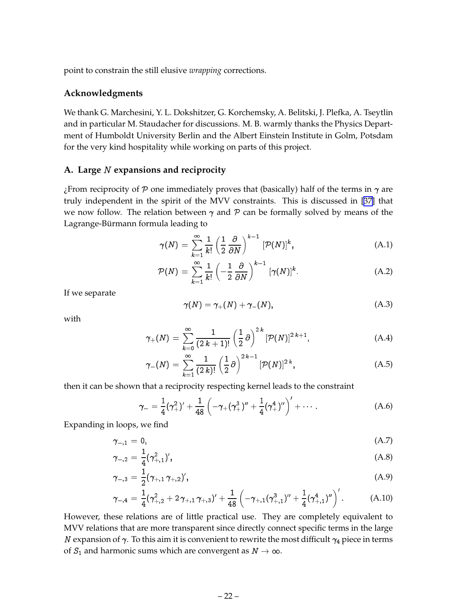<span id="page-23-0"></span>point to constrain the still elusive *wrapping* corrections.

# **Acknowledgments**

We thank G. Marchesini, Y. L. Dokshitzer, G. Korchemsky, A. Belitski, J. Plefka, A. Tseytlin and in particular M. Staudacher for discussions. M. B. warmly thanks the Physics Department of Humboldt University Berlin and the Albert Einstein Institute in Golm, Potsdam for the very kind hospitality while working on parts of this project.

### **A. Large** <sup>N</sup> **expansions and reciprocity**

¿From reciprocity of P one immediately proves that (basically) half of the terms in  $\gamma$  are truly independent in the spirit of the MVV constraints. This is discussed in [\[37](#page-34-0)] that we now follow. The relation between  $\gamma$  and  $\beta$  can be formally solved by means of the Lagrange-Bürmann formula leading to

$$
\gamma(N) = \sum_{k=1}^{\infty} \frac{1}{k!} \left(\frac{1}{2} \frac{\partial}{\partial N}\right)^{k-1} \left[\mathcal{P}(N)\right]^k, \tag{A.1}
$$

$$
\mathcal{P}(N) = \sum_{k=1}^{\infty} \frac{1}{k!} \left( -\frac{1}{2} \frac{\partial}{\partial N} \right)^{k-1} [\gamma(N)]^k.
$$
 (A.2)

If we separate

$$
\gamma(N) = \gamma_+(N) + \gamma_-(N), \tag{A.3}
$$

with

$$
\gamma_{+}(N) = \sum_{k=0}^{\infty} \frac{1}{(2k+1)!} \left(\frac{1}{2}\partial\right)^{2k} [\mathcal{P}(N)]^{2k+1}, \tag{A.4}
$$

$$
\gamma_{-}(N) = \sum_{k=1}^{\infty} \frac{1}{(2 k)!} \left(\frac{1}{2} \partial\right)^{2k-1} [\mathcal{P}(N)]^{2k}, \tag{A.5}
$$

then it can be shown that a reciprocity respecting kernel leads to the constraint

$$
\gamma_{-} = \frac{1}{4}(\gamma_{+}^{2})' + \frac{1}{48} \left(-\gamma_{+}(\gamma_{+}^{3})'' + \frac{1}{4}(\gamma_{+}^{4})''\right)' + \cdots
$$
 (A.6)

Expanding in loops, we find

$$
\gamma_{-,1} = 0,\tag{A.7}
$$

$$
\gamma_{-,2} = \frac{1}{4} (\gamma_{+,1}^2)'
$$
\n(A.8)

$$
\gamma_{-,3} = \frac{1}{2} (\gamma_{+,1} \gamma_{+,2})', \tag{A.9}
$$

$$
\gamma_{-,4} = \frac{1}{4}(\gamma_{+,2}^2 + 2\,\gamma_{+,1}\,\gamma_{+,3})' + \frac{1}{48}\left(-\gamma_{+,1}(\gamma_{+,1}^3)'' + \frac{1}{4}(\gamma_{+,1}^4)''\right)'.
$$
 (A.10)

However, these relations are of little practical use. They are completely equivalent to MVV relations that are more transparent since directly connect specific terms in the large N expansion of  $\gamma$ . To this aim it is convenient to rewrite the most difficult  $\gamma_4$  piece in terms of  $S_1$  and harmonic sums which are convergent as  $N \to \infty$ .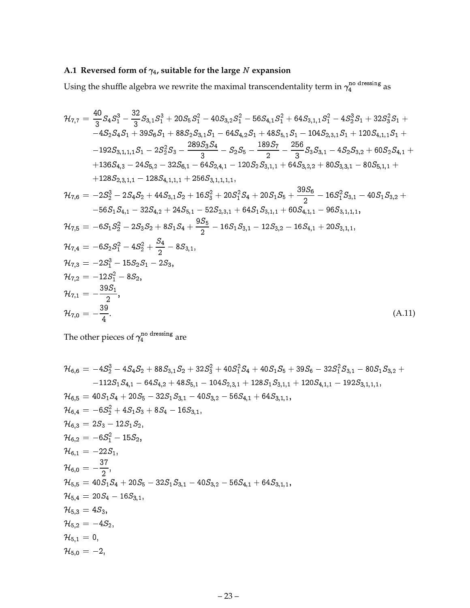# <span id="page-24-0"></span>A.1 Reversed form of  $\gamma_4$ , suitable for the large N expansion

Using the shuffle algebra we rewrite the maximal transcendentality term in  $\gamma_4^{\mu\nu}$   $^{\rm due \,ssing}$  as

$$
\begin{aligned}\n\mathcal{H}_{7,7} &= \frac{40}{3} S_4 S_1^3 - \frac{32}{3} S_{3,1} S_1^3 + 20 S_5 S_1^2 - 40 S_{3,2} S_1^2 - 56 S_{4,1} S_1^2 + 64 S_{3,1,1} S_1^2 - 4 S_2^3 S_1 + 32 S_3^2 S_1 + -4 S_2 S_4 S_1 + 39 S_6 S_1 + 88 S_2 S_{3,1} S_1 - 64 S_{4,2} S_1 + 48 S_{5,1} S_1 - 104 S_{2,3,1} S_1 + 120 S_{4,1,1} S_1 + 192 S_{3,1,1,1} S_1 - 2 S_2^2 S_3 - \frac{289 S_3 S_4}{3} - S_2 S_5 - \frac{189 S_7}{2} - \frac{256}{3} S_3 S_{3,1} - 4 S_2 S_{3,2} + 60 S_2 S_{4,1} + 136 S_{4,3} - 24 S_{5,2} - 32 S_{6,1} - 64 S_{2,4,1} - 120 S_2 S_{3,1,1} + 64 S_{3,2,2} + 80 S_{3,3,1} - 80 S_{5,1,1} + 128 S_{2,3,1,1} - 128 S_{4,1,1,1} + 256 S_{3,1,1,1,1}, \\
\mathcal{H}_{7,6} &= -2 S_2^3 - 2 S_4 S_2 + 44 S_{3,1} S_2 + 16 S_3^2 + 20 S_1^2 S_4 + 20 S_1 S_5 + \frac{39 S_6}{2} - 16 S_1^2 S_{3,1} - 40 S_1 S_{3,2} + -56 S_1 S_{4,1} - 32 S_{4,2} + 24 S_{5,1} - 52 S_{2,3,1} + 64 S_1 S_{3,1,1} + 60 S_{4,1,1} - 96 S_{3,1,1,1}, \\
\mathcal{H}_{7,5} &= -6 S_1 S_2^2 - 2 S_3 S_2 + 8 S_1 S_4 + \frac{9 S_5}{2} - 16 S_1 S_{3,1} - 12 S_{3
$$

The other pieces of  $\gamma_4^{\text{no trans}}$  are

$$
\begin{aligned} &\mathcal{H}_{6,6}=-4S_2^3-4S_4S_2+88S_{3,1}S_2+32S_3^2+40S_1^2S_4+40S_1S_5+39S_6-32S_1^2S_{3,1}-80S_1S_{3,2}+\\ &-112S_1S_{4,1}-64S_{4,2}+48S_{5,1}-104S_{2,3,1}+128S_1S_{3,1,1}+120S_{4,1,1}-192S_{3,1,1,1},\\ &\mathcal{H}_{6,5}=40S_1S_4+20S_5-32S_1S_{3,1}-40S_{3,2}-56S_{4,1}+64S_{3,1,1},\\ &\mathcal{H}_{6,4}=-6S_2^2+4S_1S_3+8S_4-16S_{3,1},\\ &\mathcal{H}_{6,3}=2S_3-12S_1S_2,\\ &\mathcal{H}_{6,2}=-6S_1^2-15S_2,\\ &\mathcal{H}_{6,1}=-22S_1,\\ &\mathcal{H}_{6,0}=-\frac{37}{2},\\ &\mathcal{H}_{5,5}=40S_1S_4+20S_5-32S_1S_{3,1}-40S_{3,2}-56S_{4,1}+64S_{3,1,1},\\ &\mathcal{H}_{5,4}=20S_4-16S_{3,1},\\ &\mathcal{H}_{5,3}=4S_3,\\ &\mathcal{H}_{5,2}=-4S_2,\\ &\mathcal{H}_{5,1}=0,\\ &\mathcal{H}_{5,0}=-2,\\ \end{aligned}
$$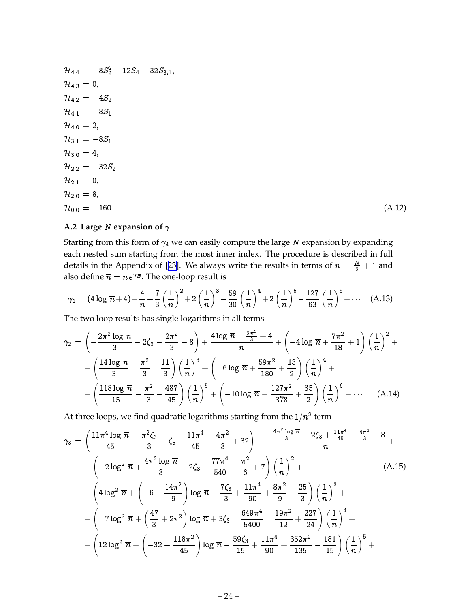<span id="page-25-0"></span>
$$
\mathcal{H}_{4,4} = -8S_2^2 + 12S_4 - 32S_{3,1},
$$
  
\n
$$
\mathcal{H}_{4,3} = 0,
$$
  
\n
$$
\mathcal{H}_{4,2} = -4S_2,
$$
  
\n
$$
\mathcal{H}_{4,1} = -8S_1,
$$
  
\n
$$
\mathcal{H}_{4,0} = 2,
$$
  
\n
$$
\mathcal{H}_{3,1} = -8S_1,
$$
  
\n
$$
\mathcal{H}_{3,0} = 4,
$$
  
\n
$$
\mathcal{H}_{2,2} = -32S_2,
$$
  
\n
$$
\mathcal{H}_{2,1} = 0,
$$
  
\n
$$
\mathcal{H}_{2,0} = 8,
$$
  
\n
$$
\mathcal{H}_{0,0} = -160.
$$
  
\n(A.12)

# **A.2 Large**  $N$  **expansion of**  $\gamma$

Starting from this form of  $\gamma_4$  we can easily compute the large  $N$  expansion by expanding each nested sum starting from the most inner index. The procedure is described in full details in the Appendix of [[23\]](#page-33-0). We always write the results in terms of  $n = \frac{N}{2} + 1$  and also define  $\overline{n} = n\, e^{\gamma_E}.$  The one-loop result is

$$
\gamma_1 = (4 \log \overline{n} + 4) + \frac{4}{n} - \frac{7}{3} \left(\frac{1}{n}\right)^2 + 2 \left(\frac{1}{n}\right)^3 - \frac{59}{30} \left(\frac{1}{n}\right)^4 + 2 \left(\frac{1}{n}\right)^5 - \frac{127}{63} \left(\frac{1}{n}\right)^6 + \cdots
$$
 (A.13)

The two loop results has single logarithms in all terms

$$
\gamma_2 = \left(-\frac{2\pi^2 \log \overline{n}}{3} - 2\zeta_3 - \frac{2\pi^2}{3} - 8\right) + \frac{4 \log \overline{n} - \frac{2\pi^2}{3} + 4}{n} + \left(-4 \log \overline{n} + \frac{7\pi^2}{18} + 1\right) \left(\frac{1}{n}\right)^2 + \frac{4 \log \overline{n}}{3} - \frac{\pi^2}{3} - \frac{11}{3}\right) \left(\frac{1}{n}\right)^3 + \left(-6 \log \overline{n} + \frac{59\pi^2}{180} + \frac{13}{2}\right) \left(\frac{1}{n}\right)^4 + \frac{118 \log \overline{n}}{15} - \frac{\pi^2}{3} - \frac{487}{45}\right) \left(\frac{1}{n}\right)^5 + \left(-10 \log \overline{n} + \frac{127\pi^2}{378} + \frac{35}{2}\right) \left(\frac{1}{n}\right)^6 + \cdots \quad (A.14)
$$

At three loops, we find quadratic logarithms starting from the  $1/n^2$  term

$$
\gamma_3 = \left(\frac{11\pi^4 \log \overline{n}}{45} + \frac{\pi^2 \zeta_3}{3} - \zeta_5 + \frac{11\pi^4}{45} + \frac{4\pi^2}{3} + 32\right) + \frac{-\frac{4\pi^2 \log \overline{n}}{3} - 2\zeta_3 + \frac{11\pi^4}{45} - \frac{4\pi^2}{3} - 8}{n} + \frac{4\pi^2 \log \overline{n}}{3} + 2\zeta_3 - \frac{77\pi^4}{540} - \frac{\pi^2}{6} + 7\right) \left(\frac{1}{n}\right)^2 + \left(4 \log^2 \overline{n} + \left(-6 - \frac{14\pi^2}{9}\right) \log \overline{n} - \frac{7\zeta_3}{3} + \frac{11\pi^4}{90} + \frac{8\pi^2}{9} - \frac{25}{3}\right) \left(\frac{1}{n}\right)^3 + \frac{4\pi^2 \log \overline{n}}{3} + \frac{4\pi^2 \log \overline{n}}{3} + 3\zeta_3 - \frac{649\pi^4}{5400} - \frac{19\pi^2}{12} + \frac{227}{24}\right) \left(\frac{1}{n}\right)^4 + \frac{4\pi^2 \log^2 \overline{n}}{3} + \left(12 \log^2 \overline{n} + \left(-32 - \frac{118\pi^2}{45}\right) \log \overline{n} - \frac{59\zeta_3}{15} + \frac{11\pi^4}{90} + \frac{352\pi^2}{135} - \frac{181}{15}\right) \left(\frac{1}{n}\right)^5 + \frac{4\pi^4 \log^2 \overline{n}}{3} + \frac{11\pi^4 \log^2 \overline{n}}{3} + \frac{11\pi^4 \log^2 \overline{n}}{3} + \frac{352\pi^2}{15} - \frac{181}{15}\right) \left(\frac{1}{n}\right)^5 + \frac{11\pi^4 \log^2 \overline{n}}{3} + \frac{11\pi^4 \log^2 \overline{n}}{3} + \frac{11\pi^4 \log^2 \overline{n}}{3} + \frac{11\pi^4 \log^2 \overline{n}}{3} + \frac{11\pi^4 \log^
$$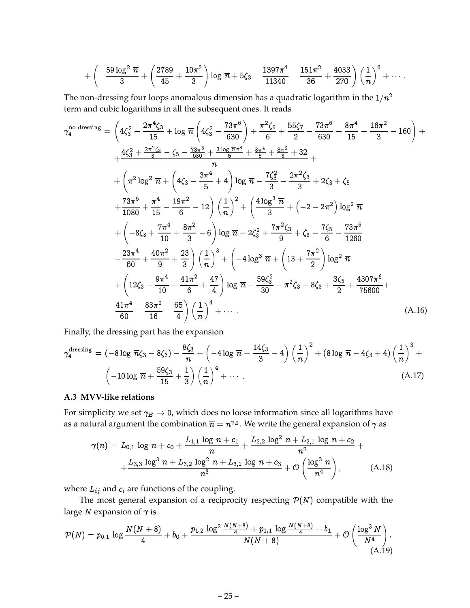<span id="page-26-0"></span>
$$
+\left(-\frac{59 \log ^2\overline{n}}{3}+\left(\frac{2789}{45}+\frac{10 \pi ^2}{3}\right) \log \overline{n}+5 \zeta_3-\frac{1397 \pi ^4}{11340}-\frac{151 \pi ^2}{36}+\frac{4033}{270}\right) \left(\frac{1}{n}\right)^6+\cdots.
$$

The non-dressing four loops anomalous dimension has a quadratic logarithm in the  $1/n^2$ term and cubic logarithms in all the subsequent ones. It reads

$$
\gamma_4^{\text{no dressing}} = \left(4\zeta_3^2 - \frac{2\pi^4\zeta_3}{15} + \log \pi \left(4\zeta_3^2 - \frac{73\pi^6}{630}\right) + \frac{\pi^2\zeta_5}{6} + \frac{55\zeta_7}{2} - \frac{73\pi^6}{630} - \frac{8\pi^4}{15} - \frac{16\pi^2}{3} - 160\right) + \frac{4\zeta_3^2 + \frac{2\pi^2\zeta_3}{3} - \zeta_5 - \frac{73\pi^6}{630} + \frac{3\log \pi \pi^4}{5} + \frac{3\pi^4}{5} + \frac{8\pi^2}{3} + 32}{n} + \left(\pi^2 \log^2 \pi + \left(4\zeta_3 - \frac{3\pi^4}{5} + 4\right) \log \pi - \frac{7\zeta_3^2}{3} - \frac{2\pi^2\zeta_3}{3} + 2\zeta_3 + \zeta_5
$$

$$
+ \frac{73\pi^6}{1080} + \frac{\pi^4}{15} - \frac{19\pi^2}{6} - 12\right) \left(\frac{1}{n}\right)^2 + \left(\frac{4\log^3 \pi}{3} + \left(-2 - 2\pi^2\right) \log^2 \pi + \left(-8\zeta_3 + \frac{7\pi^4}{10} + \frac{8\pi^2}{3} - 6\right) \log \pi + 2\zeta_3^2 + \frac{7\pi^2\zeta_3}{9} + \zeta_3 - \frac{7\zeta_5}{6} - \frac{73\pi^6}{1260}
$$

$$
- \frac{23\pi^4}{60} + \frac{40\pi^2}{9} + \frac{23}{3}\right) \left(\frac{1}{n}\right)^3 + \left(-4\log^3 \pi + \left(13 + \frac{7\pi^2}{2}\right) \log^2 \pi + \left(12\zeta_3 - \frac{9\pi^4}{10} - \frac{41\pi^2}{6} + \frac{47}{4}\right) \log \pi - \frac{59\zeta_3^2}{30} - \pi^2\zeta_3 - 8\zeta_3 + \frac{3\zeta_5}{2} + \frac{4307\pi^6}{7
$$

Finally, the dressing part has the expansion

$$
\gamma_4^{\text{dressing}} = (-8 \log \overline{n}\zeta_3 - 8\zeta_3) - \frac{8\zeta_3}{n} + \left(-4 \log \overline{n} + \frac{14\zeta_3}{3} - 4\right) \left(\frac{1}{n}\right)^2 + (8 \log \overline{n} - 4\zeta_3 + 4) \left(\frac{1}{n}\right)^3 + \\ \left(-10 \log \overline{n} + \frac{59\zeta_3}{15} + \frac{1}{3}\right) \left(\frac{1}{n}\right)^4 + \cdots \tag{A.17}
$$

# **A.3 MVV-like relations**

For simplicity we set  $\gamma_E \to 0$ , which does no loose information since all logarithms have as a natural argument the combination  $\overline{n}=n^{\gamma_E}.$  We write the general expansion of  $\gamma$  as

$$
\gamma(n) = L_{0,1} \log n + c_0 + \frac{L_{1,1} \log n + c_1}{n} + \frac{L_{2,2} \log^2 n + L_{2,1} \log n + c_2}{n^2} + \frac{L_{3,3} \log^3 n + L_{3,2} \log^2 n + L_{3,1} \log n + c_3}{n^3} + \mathcal{O}\left(\frac{\log^3 n}{n^4}\right), \tag{A.18}
$$

where  $L_{ij}$  and  $c_i$  are functions of the coupling.

The most general expansion of a reciprocity respecting  $P(N)$  compatible with the large  $N$  expansion of  $\gamma$  is

$$
\mathcal{P}(N) = p_{0,1} \, \log \frac{N(N+8)}{4} + b_0 + \frac{p_{1,2} \, \log^2 \frac{N(N+8)}{4} + p_{1,1} \, \log \frac{N(N+8)}{4} + b_1}{N(N+8)} + \mathcal{O}\left(\frac{\log^3 N}{N^4}\right). \tag{A.19}
$$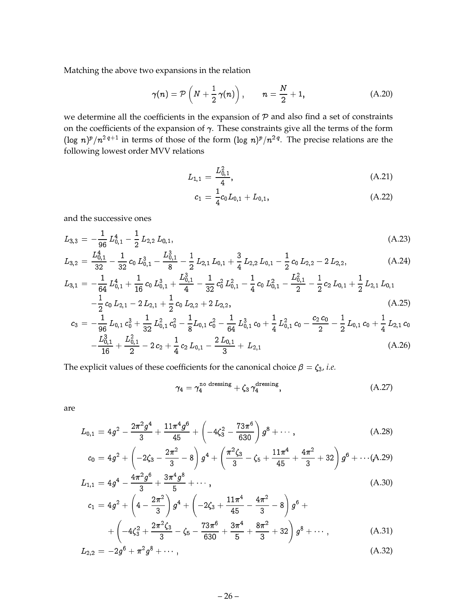Matching the above two expansions in the relation

$$
\gamma(n) = \mathcal{P}\left(N + \frac{1}{2}\,\gamma(n)\right), \qquad n = \frac{N}{2} + 1,\tag{A.20}
$$

we determine all the coefficients in the expansion of  $P$  and also find a set of constraints on the coefficients of the expansion of  $\gamma$ . These constraints give all the terms of the form (log  $n)^p/n^{2q+1}$  in terms of those of the form (log  $n)^p/n^{2q}$ . The precise relations are the following lowest order MVV relations

$$
L_{1,1} = \frac{L_{0,1}^2}{4},\tag{A.21}
$$

$$
c_1 = \frac{1}{4}c_0L_{0,1} + L_{0,1}, \qquad (A.22)
$$

and the successive ones

$$
L_{3,3} = -\frac{1}{96} L_{0,1}^4 - \frac{1}{2} L_{2,2} L_{0,1}, \tag{A.23}
$$

$$
L_{3,2} = \frac{L_{0,1}^4}{32} - \frac{1}{32} c_0 L_{0,1}^3 - \frac{L_{0,1}^3}{8} - \frac{1}{2} L_{2,1} L_{0,1} + \frac{3}{4} L_{2,2} L_{0,1} - \frac{1}{2} c_0 L_{2,2} - 2 L_{2,2},
$$
(A.24)

$$
L_{3,1} = -\frac{1}{64} L_{0,1}^4 + \frac{1}{16} c_0 L_{0,1}^3 + \frac{L_{0,1}^3}{4} - \frac{1}{32} c_0^2 L_{0,1}^2 - \frac{1}{4} c_0 L_{0,1}^2 - \frac{L_{0,1}^2}{2} - \frac{1}{2} c_2 L_{0,1} + \frac{1}{2} L_{2,1} L_{0,1} \\
- \frac{1}{2} c_0 L_{0,1} - 2 L_{0,1} + \frac{1}{2} c_0 L_{0,2} + 2 L_{0,2} \tag{A.25}
$$

$$
-\frac{1}{2}c_0 L_{2,1} - 2 L_{2,1} + \frac{1}{2}c_0 L_{2,2} + 2 L_{2,2},
$$
\n
$$
c_3 = -\frac{1}{2}L_{0,1}c_0^3 + \frac{1}{2}L_{0,1}^2c_0^2 - \frac{1}{2}L_{0,1}c_0^2 - \frac{1}{2}L_{0,1}^3c_0 + \frac{1}{2}L_{0,1}^2c_0 - \frac{c_2c_0}{2} - \frac{1}{2}L_{0,1}c_0 + \frac{1}{2}L_{2,1}c_0
$$
\n(A.25)

$$
s = \frac{96}{96}L_{0,1}^{0}C_{0} + 32 L_{0,1}^{0}C_{0} - 8L_{0,1}^{0}C_{0} - 64 L_{0,1}^{0}C_{0} + 4 L_{0,1}^{0}C_{0} - 2L_{0,1}^{0}C_{0} + 4L_{2,1}^{0}C_{0} - 2L_{0,1}^{0}C_{0} + 4L_{2,1}^{0}C_{0} + 2L_{2,1}^{0}C_{0} + 2L_{2,1}^{0}C_{0} + 2L_{2,1}^{0}C_{0} + 2L_{2,1}^{0}C_{0} + 2L_{2,1}^{0}C_{0} + 2L_{2,1}^{0}C_{0} + 2L_{2,1}^{0}C_{0} + 2L_{2,1}^{0}C_{0} + 2L_{2,1}^{0}C_{0} + 2L_{2,1}^{0}C_{0} + 2L_{2,1}^{0}C_{0} + 2L_{2,1}^{0}C_{0} + 2L_{2,1}^{0}C_{0} + 2L_{2,1}^{0}C_{0} + 2L_{2,1}^{0}C_{0} + 2L_{2,1}^{0}C_{0} + 2L_{2,1}^{0}C_{0} + 2L_{2,1}^{0}C_{0} + 2L_{2,1}^{0}C_{0} + 2L_{2,1}^{0}C_{0} + 2L_{2,1}^{0}C_{0} + 2L_{2,1}^{0}C_{0} + 2L_{2,1}^{0}C_{0} + 2L_{2,1}^{0}C_{0} + 2L_{2,1}^{0}C_{0} + 2L_{2,1}^{0}C_{0} + 2L_{2,1}^{0}C_{0} + 2L_{2,1}^{0}C_{0} + 2L_{2,1}^{0}C_{0} + 2L_{2,1}^{0}C_{0} + 2L_{2,1}^{0}C_{0} + 2L_{2,1}^{0}C_{0} + 2L_{2,1}^{0}C_{0} + 2L_{2,1}^{0}C_{0} + 2L_{2,1}^{0}C_{0} + 2L_{2,1}^{0}C_{0} + 2L_{2,1}^{0}C_{0} + 2L_{2,1}^{0}C
$$

The explicit values of these coefficients for the canonical choice  $\beta = \zeta_3$ , *i.e.* 

$$
\gamma_4 = \gamma_4^{\text{no dressing}} + \zeta_3 \gamma_4^{\text{dressing}}, \qquad (A.27)
$$

are

$$
L_{0,1} = 4g^2 - \frac{2\pi^2 g^4}{3} + \frac{11\pi^4 g^6}{45} + \left(-4\zeta_3^2 - \frac{73\pi^6}{630}\right)g^8 + \cdots, \tag{A.28}
$$

$$
c_0 = 4g^2 + \left(-2\zeta_3 - \frac{2\pi^2}{3} - 8\right)g^4 + \left(\frac{\pi^2\zeta_3}{3} - \zeta_5 + \frac{11\pi^4}{45} + \frac{4\pi^2}{3} + 32\right)g^6 + \cdots (A.29)
$$

$$
L_{1,1} = 4g^4 - \frac{4\pi^2 g^6}{3} + \frac{3\pi^4 g^8}{5} + \cdots, \tag{A.30}
$$

$$
c_1 = 4g^2 + \left(4 - \frac{2\pi^2}{3}\right)g^4 + \left(-2\zeta_3 + \frac{11\pi^4}{45} - \frac{4\pi^2}{3} - 8\right)g^6 +
$$
  
+ 
$$
\left(-4\zeta_3^2 + \frac{2\pi^2\zeta_3}{3} - \zeta_5 - \frac{73\pi^6}{630} + \frac{3\pi^4}{5} + \frac{8\pi^2}{3} + 32\right)g^8 + \cdots,
$$
 (A.31)

$$
L_{2,2} = -2g^6 + \pi^2 g^8 + \cdots, \qquad (A.32)
$$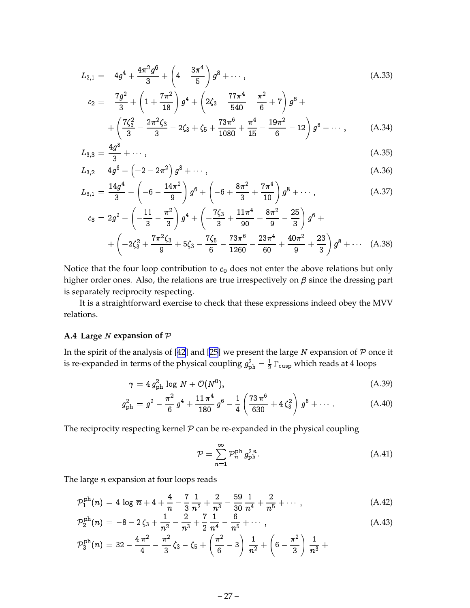<span id="page-28-0"></span>
$$
L_{2,1} = -4g^{4} + \frac{4\pi^{2} g^{6}}{3} + \left(4 - \frac{3\pi^{4}}{5}\right) g^{8} + \cdots,
$$
\n
$$
c_{2} = -\frac{7g^{2}}{3} + \left(1 + \frac{7\pi^{2}}{18}\right) g^{4} + \left(2\zeta_{3} - \frac{77\pi^{4}}{540} - \frac{\pi^{2}}{6} + 7\right) g^{6} + \cdots
$$
\n(A.33)

$$
+\left(\frac{7\zeta_3^2}{3}-\frac{2\pi^2\zeta_3}{3}-2\zeta_3+\zeta_5+\frac{73\pi^6}{1080}+\frac{\pi^4}{15}-\frac{19\pi^2}{6}-12\right)g^8+\cdots, \qquad (A.34)
$$

$$
L_{3,3} = \frac{4g^8}{3} + \cdots, \tag{A.35}
$$

$$
L_{3,2} = 4g^6 + \left(-2 - 2\pi^2\right)g^8 + \cdots, \tag{A.36}
$$

$$
L_{3,1} = \frac{14g^4}{3} + \left(-6 - \frac{14\pi^2}{9}\right)g^6 + \left(-6 + \frac{8\pi^2}{3} + \frac{7\pi^4}{10}\right)g^8 + \cdots,
$$
 (A.37)

$$
c_3 = 2g^2 + \left(-\frac{11}{3} - \frac{\pi^2}{3}\right)g^4 + \left(-\frac{7\zeta_3}{3} + \frac{11\pi^4}{90} + \frac{8\pi^2}{9} - \frac{25}{3}\right)g^6 + + \left(-2\zeta_3^2 + \frac{7\pi^2\zeta_3}{9} + 5\zeta_3 - \frac{7\zeta_5}{6} - \frac{73\pi^6}{1260} - \frac{23\pi^4}{60} + \frac{40\pi^2}{9} + \frac{23}{3}\right)g^8 + \cdots (A.38)
$$

Notice that the four loop contribution to  $c_0$  does not enter the above relations but only higher order ones. Also, the relations are true irrespectively on  $\beta$  since the dressing part is separately reciprocity respecting.

It is a straightforward exercise to check that these expressions indeed obey the MVV relations.

#### **A.4 Large** <sup>N</sup> **expansion of** <sup>P</sup>

In the spirit of the analysis of [[42\]](#page-34-0) and [\[25](#page-33-0)] we present the large  $N$  expansion of  $P$  once it is re-expanded in terms of the physical coupling  $g_{\rm ph}^2 = \frac{1}{2} \, \Gamma_{\rm cusp}$  which reads at 4 loops

$$
\gamma = 4 g_{\rm ph}^2 \log N + \mathcal{O}(N^0), \tag{A.39}
$$

$$
g_{\rm ph}^2 = g^2 - \frac{\pi^2}{6} g^4 + \frac{11 \pi^4}{180} g^6 - \frac{1}{4} \left( \frac{73 \pi^6}{630} + 4 \zeta_3^2 \right) g^8 + \cdots \,. \tag{A.40}
$$

The reciprocity respecting kernel  $P$  can be re-expanded in the physical coupling

$$
\mathcal{P} = \sum_{n=1}^{\infty} \mathcal{P}_n^{\text{ph}} g_{\text{ph}}^{2n}.
$$
 (A.41)

The large  $n$  expansion at four loops reads

$$
\mathcal{P}_1^{\mathrm{ph}}(n) = 4 \log \overline{n} + 4 + \frac{4}{n} - \frac{7}{3} \frac{1}{n^2} + \frac{2}{n^3} - \frac{59}{30} \frac{1}{n^4} + \frac{2}{n^5} + \cdots , \qquad (A.42)
$$

$$
\mathcal{P}_2^{\text{ph}}(n) = -8 - 2\zeta_3 + \frac{1}{n^2} - \frac{2}{n^3} + \frac{7}{2}\frac{1}{n^4} - \frac{6}{n^5} + \cdots , \qquad (A.43)
$$

$$
\mathcal{P}_3^{\mathrm{ph}}(n) = 32 - \frac{4 \pi^2}{4} - \frac{\pi^2}{3} \zeta_3 - \zeta_5 + \left(\frac{\pi^2}{6} - 3\right) \frac{1}{n^2} + \left(6 - \frac{\pi^2}{3}\right) \frac{1}{n^3} + \cdots
$$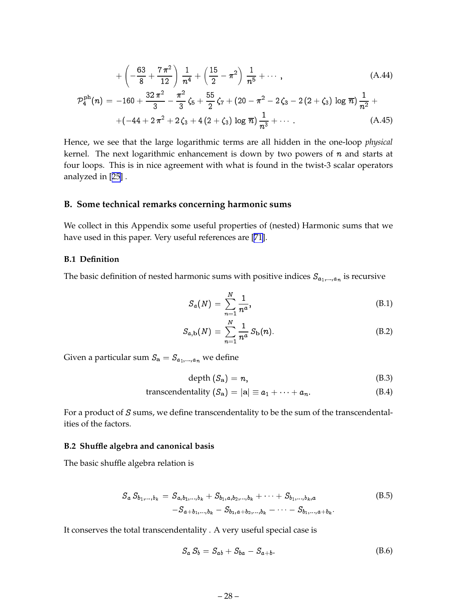<span id="page-29-0"></span>
$$
+\left(-\frac{63}{8} + \frac{7\pi^2}{12}\right)\frac{1}{n^4} + \left(\frac{15}{2} - \pi^2\right)\frac{1}{n^5} + \cdots,
$$
\n(A.44)

$$
\mathcal{P}_4^{\text{ph}}(n) = -160 + \frac{32 \pi^2}{3} - \frac{\pi^2}{3} \zeta_5 + \frac{55}{2} \zeta_7 + (20 - \pi^2 - 2 \zeta_3 - 2 (2 + \zeta_3) \log \overline{n}) \frac{1}{n^2} + \\ + (-44 + 2 \pi^2 + 2 \zeta_3 + 4 (2 + \zeta_3) \log \overline{n}) \frac{1}{n^3} + \cdots \tag{A.45}
$$

Hence, we see that the large logarithmic terms are all hidden in the one-loop *physical* kernel. The next logarithmic enhancement is down by two powers of  $n$  and starts at four loops. This is in nice agreement with what is found in the twist-3 scalar operators analyzed in [[25\]](#page-33-0) .

## **B. Some technical remarks concerning harmonic sums**

We collect in this Appendix some useful properties of (nested) Harmonic sums that we have used in this paper. Very useful references are [\[71](#page-36-0)].

#### **B.1 Definition**

The basic definition of nested harmonic sums with positive indices  $S_{a_1,...,a_n}$  is recursive

$$
S_a(N) = \sum_{n=1}^N \frac{1}{n^a},\tag{B.1}
$$

$$
S_{a,b}(N) = \sum_{n=1}^{N} \frac{1}{n^a} S_b(n).
$$
 (B.2)

Given a particular sum  $S_{a} = S_{a_1,...,a_n}$  we define

$$
depth (S_{a}) = n, \tag{B.3}
$$

transcendentality 
$$
(S_{\mathbf{a}}) = |\mathbf{a}| \equiv a_1 + \cdots + a_n.
$$
 (B.4)

For a product of S sums, we define transcendentality to be the sum of the transcendentalities of the factors.

#### **B.2 Shuffle algebra and canonical basis**

The basic shuffle algebra relation is

$$
S_a S_{b_1,...,b_k} = S_{a,b_1,...,b_k} + S_{b_1,a,b_2,...,b_k} + \cdots + S_{b_1,...,b_k,a}
$$
  
-S\_{a+b\_1,...,b\_k} - S\_{b\_1,a+b\_2,...,b\_k} - \cdots - S\_{b\_1,...,a+b\_k}. (B.5)

It conserves the total transcendentality . A very useful special case is

$$
S_a S_b = S_{ab} + S_{ba} - S_{a+b}.\tag{B.6}
$$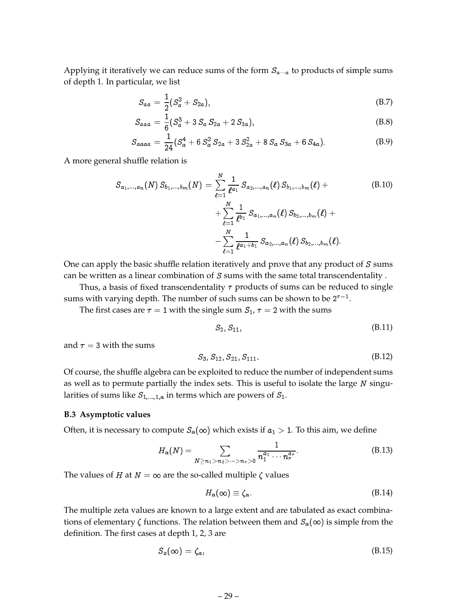<span id="page-30-0"></span>Applying it iteratively we can reduce sums of the form  $S_{a\cdots a}$  to products of simple sums of depth 1. In particular, we list

$$
S_{aa} = \frac{1}{2}(S_a^2 + S_{2a}),
$$
 (B.7)

$$
S_{aaa} = \frac{1}{6} (S_a^3 + 3 S_a S_{2a} + 2 S_{3a}), \tag{B.8}
$$

$$
S_{aaaa} = \frac{1}{24} (S_a^4 + 6 S_a^2 S_{2a} + 3 S_{2a}^2 + 8 S_a S_{3a} + 6 S_{4a}).
$$
 (B.9)

A more general shuffle relation is

$$
S_{a_1,...,a_n}(N) S_{b_1,...,b_m}(N) = \sum_{\ell=1}^N \frac{1}{\ell^{a_1}} S_{a_2,...,a_n}(\ell) S_{b_1,...,b_m}(\ell) + \sum_{\ell=1}^N \frac{1}{\ell^{b_1}} S_{a_1,...,a_n}(\ell) S_{b_2,...,b_m}(\ell) + \newline - \sum_{\ell=1}^N \frac{1}{\ell^{a_1+b_1}} S_{a_2,...,a_n}(\ell) S_{b_2,...,b_m}(\ell).
$$
 (B.10)

One can apply the basic shuffle relation iteratively and prove that any product of  $S$  sums can be written as a linear combination of  $S$  sums with the same total transcendentality.

Thus, a basis of fixed transcendentality  $\tau$  products of sums can be reduced to single sums with varying depth. The number of such sums can be shown to be  $2^{\tau-1}.$ 

The first cases are  $\tau = 1$  with the single sum  $S_1$ ,  $\tau = 2$  with the sums

$$
S_2, S_{11}, \t\t (B.11)
$$

and  $\tau = 3$  with the sums

$$
S_3, S_{12}, S_{21}, S_{111}. \tag{B.12}
$$

Of course, the shuffle algebra can be exploited to reduce the number of independent sums as well as to permute partially the index sets. This is useful to isolate the large  $N$  singularities of sums like  $S_{1,\dots,1,a}$  in terms which are powers of  $S_1$ .

#### **B.3 Asymptotic values**

Often, it is necessary to compute  $S_a(\infty)$  which exists if  $a_1 > 1$ . To this aim, we define

$$
H_{\mathbf{a}}(N) = \sum_{N \ge n_1 > n_2 > \dots > n_r > 0} \frac{1}{n_1^{a_1} \cdots n_r^{a_r}}.
$$
 (B.13)

The values of *H* at *N* =  $\infty$  are the so-called multiple  $\zeta$  values

$$
H_{\mathbf{a}}(\infty) \equiv \zeta_{\mathbf{a}}.\tag{B.14}
$$

The multiple zeta values are known to a large extent and are tabulated as exact combinations of elementary  $\zeta$  functions. The relation between them and  $S_{a}(\infty)$  is simple from the definition. The first cases at depth 1, 2, 3 are

$$
S_a(\infty) = \zeta_a,\tag{B.15}
$$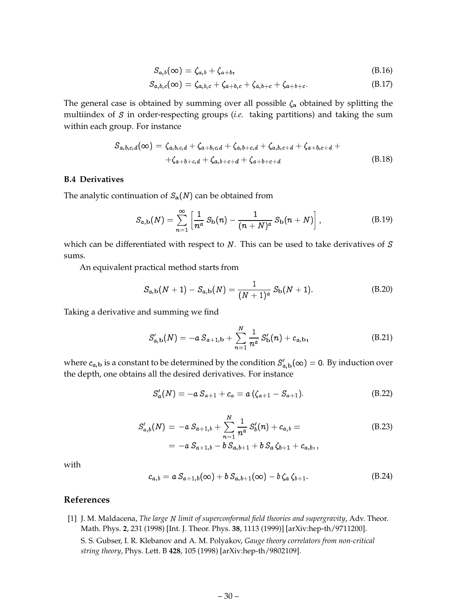$$
S_{a,b}(\infty) = \zeta_{a,b} + \zeta_{a+b},\tag{B.16}
$$

$$
S_{a,b,c}(\infty) = \zeta_{a,b,c} + \zeta_{a+b,c} + \zeta_{a,b+c} + \zeta_{a+b+c}.
$$
 (B.17)

<span id="page-31-0"></span>The general case is obtained by summing over all possible  $\zeta_a$  obtained by splitting the multiindex of S in order-respecting groups (*i.e.* taking partitions) and taking the sum within each group. For instance

$$
S_{a,b,c,d}(\infty) = \zeta_{a,b,c,d} + \zeta_{a+b,c,d} + \zeta_{a,b+c,d} + \zeta_{a,b,c+d} + \zeta_{a+b,c+d} + \zeta_{a+b+c,d} + \zeta_{a,b+c+d} + \zeta_{a+b+c+d}
$$
(B.18)

# **B.4 Derivatives**

The analytic continuation of  $S_a(N)$  can be obtained from

$$
S_{a,b}(N) = \sum_{n=1}^{\infty} \left[ \frac{1}{n^a} S_b(n) - \frac{1}{(n+N)^a} S_b(n+N) \right],
$$
 (B.19)

which can be differentiated with respect to  $N$ . This can be used to take derivatives of  $S$ sums.

An equivalent practical method starts from

$$
S_{a,b}(N+1) - S_{a,b}(N) = \frac{1}{(N+1)^a} S_b(N+1).
$$
 (B.20)

Taking a derivative and summing we find

$$
S'_{a,b}(N) = -a S_{a+1,b} + \sum_{n=1}^{N} \frac{1}{n^a} S'_{b}(n) + c_{a,b},
$$
 (B.21)

where  $c_{a,\mathbf{b}}$  is a constant to be determined by the condition  $S'_{a,\mathbf{b}}(\infty)=0.$  By induction over the depth, one obtains all the desired derivatives. For instance

$$
S'_a(N) = -a S_{a+1} + c_a = a (\zeta_{a+1} - S_{a+1}). \tag{B.22}
$$

$$
S'_{a,b}(N) = -a S_{a+1,b} + \sum_{n=1}^{N} \frac{1}{n^a} S'_{b}(n) + c_{a,b} =
$$
  
= -a S\_{a+1,b} - b S\_{a,b+1} + b S\_{a} \zeta\_{b+1} + c\_{a,b,}, (B.23)

with

$$
c_{a,b} = a S_{a+1,b}(\infty) + b S_{a,b+1}(\infty) - b \zeta_a \zeta_{b+1}.
$$
 (B.24)

# **References**

[1] J. M. Maldacena, *The large* <sup>N</sup> *limit of superconformal field theories and supergravity*, Adv. Theor. Math. Phys. **2**, 231 (1998) [Int. J. Theor. Phys. **38**, 1113 (1999)] [arXiv:hep-th/9711200]. S. S. Gubser, I. R. Klebanov and A. M. Polyakov, *Gauge theory correlators from non-critical*

*string theory*, Phys. Lett. B **428**, 105 (1998) [arXiv:hep-th/9802109].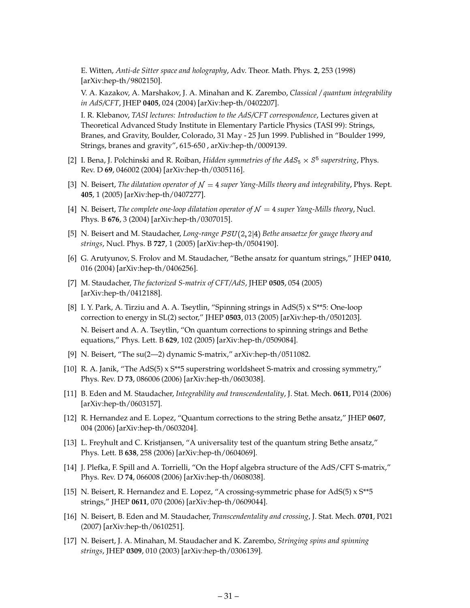<span id="page-32-0"></span>E. Witten, *Anti-de Sitter space and holography*, Adv. Theor. Math. Phys. **2**, 253 (1998) [arXiv:hep-th/9802150].

V. A. Kazakov, A. Marshakov, J. A. Minahan and K. Zarembo, *Classical / quantum integrability in AdS/CFT*, JHEP **0405**, 024 (2004) [arXiv:hep-th/0402207].

I. R. Klebanov, *TASI lectures: Introduction to the AdS/CFT correspondence*, Lectures given at Theoretical Advanced Study Institute in Elementary Particle Physics (TASI 99): Strings, Branes, and Gravity, Boulder, Colorado, 31 May - 25 Jun 1999. Published in "Boulder 1999, Strings, branes and gravity", 615-650 , arXiv:hep-th/0009139.

- [2] I. Bena, J. Polchinski and R. Roiban, *Hidden symmetries of the AdS*<sub>5</sub>  $\times$  S<sup>5</sup> superstring, Phys. Rev. D **69**, 046002 (2004) [arXiv:hep-th/0305116].
- [3] N. Beisert, *The dilatation operator of*  $\mathcal{N} = 4$  *super Yang-Mills theory and integrability*, Phys. Rept. **405**, 1 (2005) [arXiv:hep-th/0407277].
- [4] N. Beisert, *The complete one-loop dilatation operator of*  $\mathcal{N} = 4$  *super Yang-Mills theory*, Nucl. Phys. B **676**, 3 (2004) [arXiv:hep-th/0307015].
- [5] N. Beisert and M. Staudacher, *Long-range* P SU(2; 2j4) *Bethe ansaetze for gauge theory and strings*, Nucl. Phys. B **727**, 1 (2005) [arXiv:hep-th/0504190].
- [6] G. Arutyunov, S. Frolov and M. Staudacher, "Bethe ansatz for quantum strings," JHEP **0410**, 016 (2004) [arXiv:hep-th/0406256].
- [7] M. Staudacher, *The factorized S-matrix of CFT/AdS*, JHEP **0505**, 054 (2005) [arXiv:hep-th/0412188].
- [8] I. Y. Park, A. Tirziu and A. A. Tseytlin, "Spinning strings in AdS(5) x S\*\*5: One-loop correction to energy in SL(2) sector," JHEP **0503**, 013 (2005) [arXiv:hep-th/0501203]. N. Beisert and A. A. Tseytlin, "On quantum corrections to spinning strings and Bethe equations," Phys. Lett. B **629**, 102 (2005) [arXiv:hep-th/0509084].
- [9] N. Beisert, "The su(2—2) dynamic S-matrix," arXiv:hep-th/0511082.
- [10] R. A. Janik, "The AdS(5)  $\times$  S\*\*5 superstring worldsheet S-matrix and crossing symmetry," Phys. Rev. D **73**, 086006 (2006) [arXiv:hep-th/0603038].
- [11] B. Eden and M. Staudacher, *Integrability and transcendentality*, J. Stat. Mech. **0611**, P014 (2006) [arXiv:hep-th/0603157].
- [12] R. Hernandez and E. Lopez, "Quantum corrections to the string Bethe ansatz," JHEP **0607**, 004 (2006) [arXiv:hep-th/0603204].
- [13] L. Freyhult and C. Kristjansen, "A universality test of the quantum string Bethe ansatz," Phys. Lett. B **638**, 258 (2006) [arXiv:hep-th/0604069].
- [14] J. Plefka, F. Spill and A. Torrielli, "On the Hopf algebra structure of the AdS/CFT S-matrix," Phys. Rev. D **74**, 066008 (2006) [arXiv:hep-th/0608038].
- [15] N. Beisert, R. Hernandez and E. Lopez, "A crossing-symmetric phase for AdS(5) x S\*\*5 strings," JHEP **0611**, 070 (2006) [arXiv:hep-th/0609044].
- [16] N. Beisert, B. Eden and M. Staudacher, *Transcendentality and crossing*, J. Stat. Mech. **0701**, P021 (2007) [arXiv:hep-th/0610251].
- [17] N. Beisert, J. A. Minahan, M. Staudacher and K. Zarembo, *Stringing spins and spinning strings*, JHEP **0309**, 010 (2003) [arXiv:hep-th/0306139].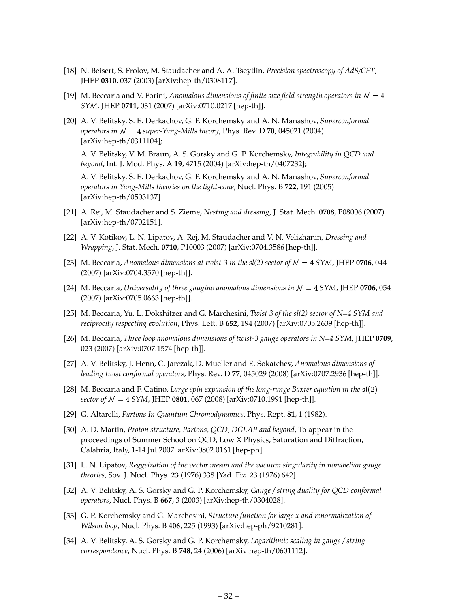- <span id="page-33-0"></span>[18] N. Beisert, S. Frolov, M. Staudacher and A. A. Tseytlin, *Precision spectroscopy of AdS/CFT*, JHEP **0310**, 037 (2003) [arXiv:hep-th/0308117].
- [19] M. Beccaria and V. Forini, *Anomalous dimensions of finite size field strength operators in*  $\mathcal{N} = 4$ *SYM*, JHEP **0711**, 031 (2007) [arXiv:0710.0217 [hep-th]].
- [20] A. V. Belitsky, S. E. Derkachov, G. P. Korchemsky and A. N. Manashov, *Superconformal operators in*  $\mathcal{N} = 4$  *super-Yang-Mills theory*, Phys. Rev. D **70**, 045021 (2004) [arXiv:hep-th/0311104];

A. V. Belitsky, V. M. Braun, A. S. Gorsky and G. P. Korchemsky, *Integrability in QCD and beyond*, Int. J. Mod. Phys. A **19**, 4715 (2004) [arXiv:hep-th/0407232];

A. V. Belitsky, S. E. Derkachov, G. P. Korchemsky and A. N. Manashov, *Superconformal operators in Yang-Mills theories on the light-cone*, Nucl. Phys. B **722**, 191 (2005) [arXiv:hep-th/0503137].

- [21] A. Rej, M. Staudacher and S. Zieme, *Nesting and dressing*, J. Stat. Mech. **0708**, P08006 (2007) [arXiv:hep-th/0702151].
- [22] A. V. Kotikov, L. N. Lipatov, A. Rej, M. Staudacher and V. N. Velizhanin, *Dressing and Wrapping*, J. Stat. Mech. **0710**, P10003 (2007) [arXiv:0704.3586 [hep-th]].
- [23] M. Beccaria, *Anomalous dimensions at twist-3 in the sl(2) sector of*  $\mathcal{N} = 4$  *SYM*, JHEP **0706**, 044 (2007) [arXiv:0704.3570 [hep-th]].
- [24] M. Beccaria, *Universality of three gaugino anomalous dimensions in*  $\mathcal{N} = 4$  *SYM*, JHEP **0706**, 054 (2007) [arXiv:0705.0663 [hep-th]].
- [25] M. Beccaria, Yu. L. Dokshitzer and G. Marchesini, *Twist 3 of the sl(2) sector of N=4 SYM and reciprocity respecting evolution*, Phys. Lett. B **652**, 194 (2007) [arXiv:0705.2639 [hep-th]].
- [26] M. Beccaria, *Three loop anomalous dimensions of twist-3 gauge operators in N=4 SYM*, JHEP **0709**, 023 (2007) [arXiv:0707.1574 [hep-th]].
- [27] A. V. Belitsky, J. Henn, C. Jarczak, D. Mueller and E. Sokatchev, *Anomalous dimensions of leading twist conformal operators*, Phys. Rev. D **77**, 045029 (2008) [arXiv:0707.2936 [hep-th]].
- [28] M. Beccaria and F. Catino, *Large spin expansion of the long-range Baxter equation in the* sl(2) *sector of*  $N = 4$  *SYM*, JHEP **0801**, 067 (2008) [arXiv:0710.1991 [hep-th]].
- [29] G. Altarelli, *Partons In Quantum Chromodynamics*, Phys. Rept. **81**, 1 (1982).
- [30] A. D. Martin, *Proton structure, Partons, QCD, DGLAP and beyond*, To appear in the proceedings of Summer School on QCD, Low X Physics, Saturation and Diffraction, Calabria, Italy, 1-14 Jul 2007. arXiv:0802.0161 [hep-ph].
- [31] L. N. Lipatov, *Reggeization of the vector meson and the vacuum singularity in nonabelian gauge theories*, Sov. J. Nucl. Phys. **23** (1976) 338 [Yad. Fiz. **23** (1976) 642].
- [32] A. V. Belitsky, A. S. Gorsky and G. P. Korchemsky, *Gauge / string duality for QCD conformal operators*, Nucl. Phys. B **667**, 3 (2003) [arXiv:hep-th/0304028].
- [33] G. P. Korchemsky and G. Marchesini, *Structure function for large x and renormalization of Wilson loop*, Nucl. Phys. B **406**, 225 (1993) [arXiv:hep-ph/9210281].
- [34] A. V. Belitsky, A. S. Gorsky and G. P. Korchemsky, *Logarithmic scaling in gauge / string correspondence*, Nucl. Phys. B **748**, 24 (2006) [arXiv:hep-th/0601112].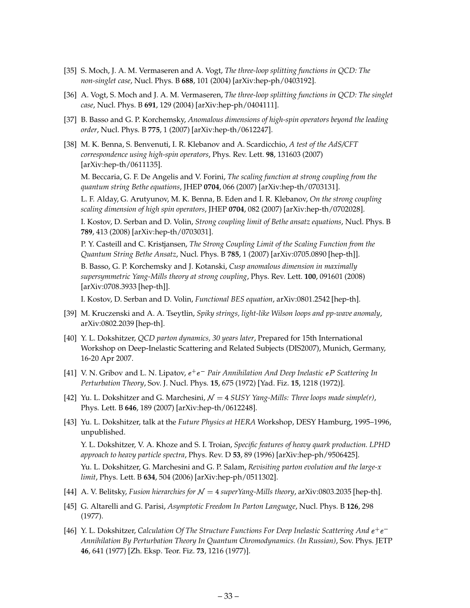- <span id="page-34-0"></span>[35] S. Moch, J. A. M. Vermaseren and A. Vogt, *The three-loop splitting functions in QCD: The non-singlet case*, Nucl. Phys. B **688**, 101 (2004) [arXiv:hep-ph/0403192].
- [36] A. Vogt, S. Moch and J. A. M. Vermaseren, *The three-loop splitting functions in QCD: The singlet case*, Nucl. Phys. B **691**, 129 (2004) [arXiv:hep-ph/0404111].
- [37] B. Basso and G. P. Korchemsky, *Anomalous dimensions of high-spin operators beyond the leading order*, Nucl. Phys. B **775**, 1 (2007) [arXiv:hep-th/0612247].
- [38] M. K. Benna, S. Benvenuti, I. R. Klebanov and A. Scardicchio, *A test of the AdS/CFT correspondence using high-spin operators*, Phys. Rev. Lett. **98**, 131603 (2007) [arXiv:hep-th/0611135].

M. Beccaria, G. F. De Angelis and V. Forini, *The scaling function at strong coupling from the quantum string Bethe equations*, JHEP **0704**, 066 (2007) [arXiv:hep-th/0703131].

L. F. Alday, G. Arutyunov, M. K. Benna, B. Eden and I. R. Klebanov, *On the strong coupling scaling dimension of high spin operators*, JHEP **0704**, 082 (2007) [arXiv:hep-th/0702028].

I. Kostov, D. Serban and D. Volin, *Strong coupling limit of Bethe ansatz equations*, Nucl. Phys. B **789**, 413 (2008) [arXiv:hep-th/0703031].

P. Y. Casteill and C. Kristjansen, *The Strong Coupling Limit of the Scaling Function from the Quantum String Bethe Ansatz*, Nucl. Phys. B **785**, 1 (2007) [arXiv:0705.0890 [hep-th]].

B. Basso, G. P. Korchemsky and J. Kotanski, *Cusp anomalous dimension in maximally supersymmetric Yang-Mills theory at strong coupling*, Phys. Rev. Lett. **100**, 091601 (2008) [arXiv:0708.3933 [hep-th]].

I. Kostov, D. Serban and D. Volin, *Functional BES equation*, arXiv:0801.2542 [hep-th].

- [39] M. Kruczenski and A. A. Tseytlin, *Spiky strings, light-like Wilson loops and pp-wave anomaly*, arXiv:0802.2039 [hep-th].
- [40] Y. L. Dokshitzer, *QCD parton dynamics, 30 years later*, Prepared for 15th International Workshop on Deep-Inelastic Scattering and Related Subjects (DIS2007), Munich, Germany, 16-20 Apr 2007.
- [41] V. N. Gribov and L. N. Lipatov, e+ e *Pair Annihilation And Deep Inelastic* eP *Scattering In Perturbation Theory*, Sov. J. Nucl. Phys. **15**, 675 (1972) [Yad. Fiz. **15**, 1218 (1972)].
- [42] Yu. L. Dokshitzer and G. Marchesini,  $\mathcal{N} = 4$  *SUSY Yang-Mills: Three loops made simple(r)*, Phys. Lett. B **646**, 189 (2007) [arXiv:hep-th/0612248].
- [43] Yu. L. Dokshitzer, talk at the *Future Physics at HERA* Workshop, DESY Hamburg, 1995–1996, unpublished.

Y. L. Dokshitzer, V. A. Khoze and S. I. Troian, *Specific features of heavy quark production. LPHD approach to heavy particle spectra*, Phys. Rev. D **53**, 89 (1996) [arXiv:hep-ph/9506425].

Yu. L. Dokshitzer, G. Marchesini and G. P. Salam, *Revisiting parton evolution and the large-x limit*, Phys. Lett. B **634**, 504 (2006) [arXiv:hep-ph/0511302].

- [44] A. V. Belitsky, *Fusion hierarchies for* <sup>N</sup> <sup>=</sup> <sup>4</sup> *superYang-Mills theory*, arXiv:0803.2035 [hep-th].
- [45] G. Altarelli and G. Parisi, *Asymptotic Freedom In Parton Language*, Nucl. Phys. B **126**, 298 (1977).
- [46] Y. L. Dokshitzer, *Calculation Of The Structure Functions For Deep Inelastic Scattering And* e+ e *Annihilation By Perturbation Theory In Quantum Chromodynamics. (In Russian)*, Sov. Phys. JETP **46**, 641 (1977) [Zh. Eksp. Teor. Fiz. **73**, 1216 (1977)].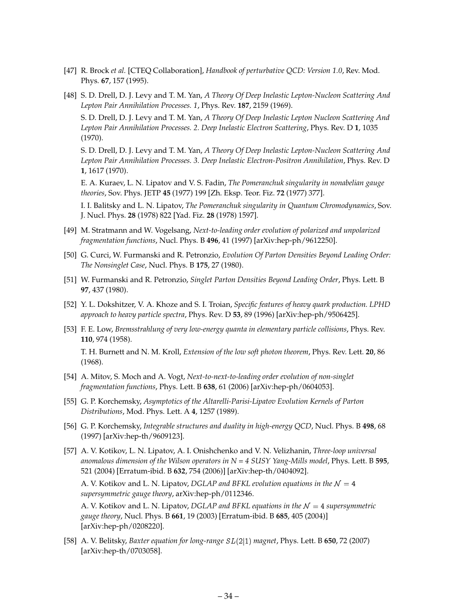- <span id="page-35-0"></span>[47] R. Brock *et al.* [CTEQ Collaboration], *Handbook of perturbative QCD: Version 1.0*, Rev. Mod. Phys. **67**, 157 (1995).
- [48] S. D. Drell, D. J. Levy and T. M. Yan, *A Theory Of Deep Inelastic Lepton-Nucleon Scattering And Lepton Pair Annihilation Processes. 1*, Phys. Rev. **187**, 2159 (1969).

S. D. Drell, D. J. Levy and T. M. Yan, *A Theory Of Deep Inelastic Lepton Nucleon Scattering And Lepton Pair Annihilation Processes. 2. Deep Inelastic Electron Scattering*, Phys. Rev. D **1**, 1035 (1970).

S. D. Drell, D. J. Levy and T. M. Yan, *A Theory Of Deep Inelastic Lepton-Nucleon Scattering And Lepton Pair Annihilation Processes. 3. Deep Inelastic Electron-Positron Annihilation*, Phys. Rev. D **1**, 1617 (1970).

E. A. Kuraev, L. N. Lipatov and V. S. Fadin, *The Pomeranchuk singularity in nonabelian gauge theories*, Sov. Phys. JETP **45** (1977) 199 [Zh. Eksp. Teor. Fiz. **72** (1977) 377].

I. I. Balitsky and L. N. Lipatov, *The Pomeranchuk singularity in Quantum Chromodynamics*, Sov. J. Nucl. Phys. **28** (1978) 822 [Yad. Fiz. **28** (1978) 1597].

- [49] M. Stratmann and W. Vogelsang, *Next-to-leading order evolution of polarized and unpolarized fragmentation functions*, Nucl. Phys. B **496**, 41 (1997) [arXiv:hep-ph/9612250].
- [50] G. Curci, W. Furmanski and R. Petronzio, *Evolution Of Parton Densities Beyond Leading Order: The Nonsinglet Case*, Nucl. Phys. B **175**, 27 (1980).
- [51] W. Furmanski and R. Petronzio, *Singlet Parton Densities Beyond Leading Order*, Phys. Lett. B **97**, 437 (1980).
- [52] Y. L. Dokshitzer, V. A. Khoze and S. I. Troian, *Specific features of heavy quark production. LPHD approach to heavy particle spectra*, Phys. Rev. D **53**, 89 (1996) [arXiv:hep-ph/9506425].
- [53] F. E. Low, *Bremsstrahlung of very low-energy quanta in elementary particle collisions*, Phys. Rev. **110**, 974 (1958). T. H. Burnett and N. M. Kroll, *Extension of the low soft photon theorem*, Phys. Rev. Lett. **20**, 86 (1968).
- [54] A. Mitov, S. Moch and A. Vogt, *Next-to-next-to-leading order evolution of non-singlet fragmentation functions*, Phys. Lett. B **638**, 61 (2006) [arXiv:hep-ph/0604053].
- [55] G. P. Korchemsky, *Asymptotics of the Altarelli-Parisi-Lipatov Evolution Kernels of Parton Distributions*, Mod. Phys. Lett. A **4**, 1257 (1989).
- [56] G. P. Korchemsky, *Integrable structures and duality in high-energy QCD*, Nucl. Phys. B **498**, 68 (1997) [arXiv:hep-th/9609123].
- [57] A. V. Kotikov, L. N. Lipatov, A. I. Onishchenko and V. N. Velizhanin, *Three-loop universal* anomalous dimension of the Wilson operators in  $N = 4$  SUSY Yang-Mills model, Phys. Lett. B 595, 521 (2004) [Erratum-ibid. B **632**, 754 (2006)] [arXiv:hep-th/0404092].

A. V. Kotikov and L. N. Lipatov, *DGLAP and BFKL evolution equations in the*  $\mathcal{N} = 4$ *supersymmetric gauge theory*, arXiv:hep-ph/0112346.

A. V. Kotikov and L. N. Lipatov, *DGLAP and BFKL equations in the*  $N = 4$  *supersymmetric gauge theory*, Nucl. Phys. B **661**, 19 (2003) [Erratum-ibid. B **685**, 405 (2004)] [arXiv:hep-ph/0208220].

[58] A. V. Belitsky, *Baxter equation for long-range* SL(2j1) *magnet*, Phys. Lett. B **650**, 72 (2007) [arXiv:hep-th/0703058].